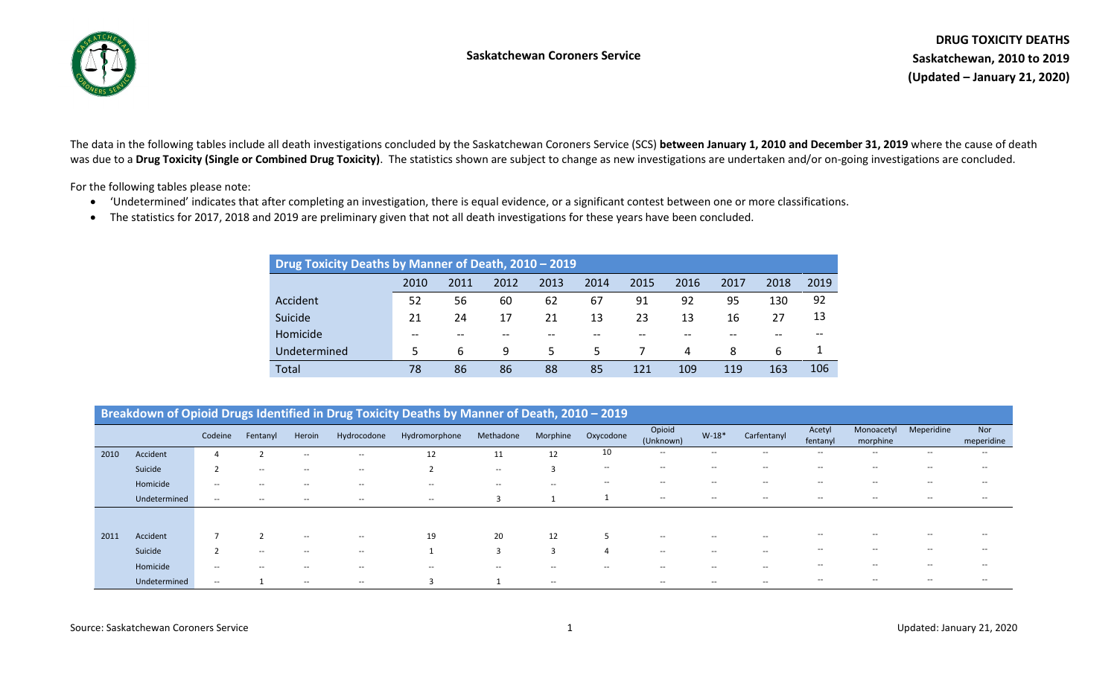



The data in the following tables include all death investigations concluded by the Saskatchewan Coroners Service (SCS) **between January 1, 2010 and December 31, 2019** where the cause of death was due to a **Drug Toxicity (Single or Combined Drug Toxicity)**. The statistics shown are subject to change as new investigations are undertaken and/or on-going investigations are concluded.

For the following tables please note:

- 'Undetermined' indicates that after completing an investigation, there is equal evidence, or a significant contest between one or more classifications.
- The statistics for 2017, 2018 and 2019 are preliminary given that not all death investigations for these years have been concluded.

| Drug Toxicity Deaths by Manner of Death, 2010 - 2019 |      |      |      |      |      |      |      |      |      |      |
|------------------------------------------------------|------|------|------|------|------|------|------|------|------|------|
|                                                      | 2010 | 2011 | 2012 | 2013 | 2014 | 2015 | 2016 | 2017 | 2018 | 2019 |
| Accident                                             | 52   | 56   | 60   | 62   | 67   | 91   | 92   | 95   | 130  | 92   |
| Suicide                                              | 21   | 24   | 17   | 21   | 13   | 23   | 13   | 16   | 27   | 13   |
| Homicide                                             |      |      |      |      |      |      |      |      |      |      |
| Undetermined                                         | 5    | 6    | 9    | 5.   | 5.   |      | 4    | 8    | 6    |      |
| <b>Total</b>                                         | 78   | 86   | 86   | 88   | 85   | 121  | 109  | 119  | 163  | 106  |

|      |              |         |          |        |             | Breakdown of Opioid Drugs Identified in Drug Toxicity Deaths by Manner of Death, 2010 - 2019 |           |                          |                                       |                                                     |                          |                                                     |                          |                        |                          |                          |
|------|--------------|---------|----------|--------|-------------|----------------------------------------------------------------------------------------------|-----------|--------------------------|---------------------------------------|-----------------------------------------------------|--------------------------|-----------------------------------------------------|--------------------------|------------------------|--------------------------|--------------------------|
|      |              | Codeine | Fentanyl | Heroin | Hydrocodone | Hydromorphone                                                                                | Methadone | Morphine                 | Oxycodone                             | Opioid<br>(Unknown)                                 | $W-18*$                  | Carfentanyl                                         | Acetyl<br>fentanyl       | Monoacetyl<br>morphine | Meperidine               | <b>Nor</b><br>meperidine |
| 2010 | Accident     |         |          | $- -$  | $- -$       | 12                                                                                           | 11        | 12                       | 10                                    | $\hspace{0.05cm}$ – $\hspace{0.05cm}$               | $- -$                    | $\hspace{0.05cm} -\hspace{0.05cm} -\hspace{0.05cm}$ | $- -$                    | $- -$                  | $- -$                    | $- -$                    |
|      | Suicide      |         | $- -$    | $- -$  | $- -$       |                                                                                              | $- -$     | 3                        | $\hspace{0.05cm}$ – $\hspace{0.05cm}$ | $\hspace{0.05cm} -\hspace{0.05cm} -\hspace{0.05cm}$ | $- -$                    | $- -$                                               | $-$                      | $- -$                  | $- -$                    | $- -$                    |
|      | Homicide     | $- -$   | --       | $- -$  | --          | $- -$                                                                                        | $- -$     | $- -$                    | $\hspace{0.05cm}$ – $\hspace{0.05cm}$ | $\hspace{0.05cm} -\hspace{0.05cm} -\hspace{0.05cm}$ | $- -$                    | $\hspace{0.05cm} -\hspace{0.05cm} -\hspace{0.05cm}$ | $\overline{\phantom{a}}$ | $- -$                  | $- -$                    | $- -$                    |
|      | Undetermined | $- -$   | $- -$    | $- -$  | $- -$       | $\overline{\phantom{a}}$                                                                     |           | $\overline{ }$           |                                       | $\hspace{0.05cm} \cdots$                            | $- -$                    | $- -$                                               | $- -$                    | $- -$                  | $- -$                    | $- -$                    |
|      |              |         |          |        |             |                                                                                              |           |                          |                                       |                                                     |                          |                                                     |                          |                        |                          |                          |
| 2011 | Accident     |         |          | $- -$  | $- -$       | 19                                                                                           | 20        | 12                       |                                       | $\hspace{0.05cm} -\hspace{0.05cm} -\hspace{0.05cm}$ | $\overline{\phantom{a}}$ | $\hspace{0.1mm}-\hspace{0.1mm}-\hspace{0.1mm}$      | $-$                      |                        |                          | $-$                      |
|      | Suicide      |         | $- -$    | $- -$  | $- -$       |                                                                                              |           | 3                        | $\overline{4}$                        | $\hspace{0.05cm} -\hspace{0.05cm} -\hspace{0.05cm}$ | $- -$                    | $- -$                                               | $\overline{\phantom{a}}$ | $- -$                  | $\overline{\phantom{a}}$ | $- -$                    |
|      | Homicide     | $- -$   | $- -$    | $- -$  | $- -$       | $- -$                                                                                        | $- -$     | $\overline{\phantom{a}}$ | $- -$                                 | $\hspace{0.05cm} -\hspace{0.05cm} -\hspace{0.05cm}$ | $- -$                    | $- -$                                               | $- -$                    | $- -$                  | $- -$                    | $- -$                    |
|      | Undetermined | $- -$   |          | $- -$  | $- -$       |                                                                                              |           | $- -$                    |                                       | $\overline{\phantom{a}}$                            | $- -$                    | $\hspace{0.05cm} -\hspace{0.05cm} -\hspace{0.05cm}$ | $-$                      | $- -$                  | $-$                      | $-$                      |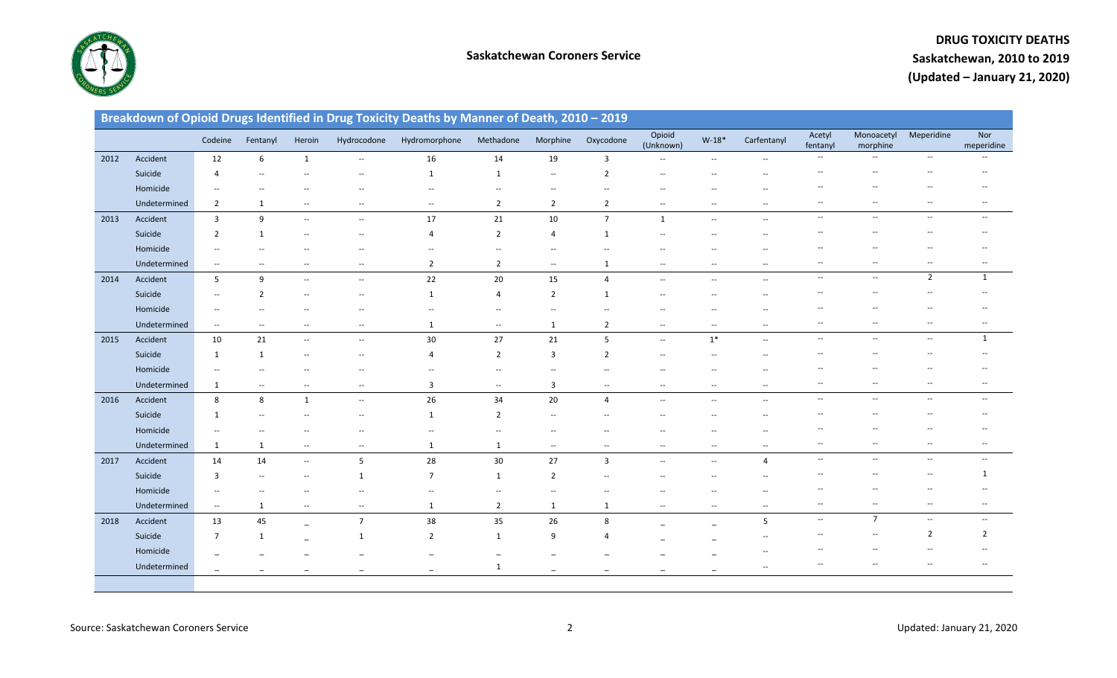

|      |              |                                   |                          |                                   |                          | Breakdown of Opioid Drugs Identified in Drug Toxicity Deaths by Manner of Death, 2010 - 2019 |                          |                          |                          |                                   |                          |                          |                          |                          |                          |                                                     |
|------|--------------|-----------------------------------|--------------------------|-----------------------------------|--------------------------|----------------------------------------------------------------------------------------------|--------------------------|--------------------------|--------------------------|-----------------------------------|--------------------------|--------------------------|--------------------------|--------------------------|--------------------------|-----------------------------------------------------|
|      |              | Codeine                           | Fentanyl                 | Heroin                            | Hydrocodone              | Hydromorphone                                                                                | Methadone                | Morphine                 | Oxycodone                | Opioid<br>(Unknown)               | $W-18*$                  | Carfentanyl              | Acetyl<br>fentanyl       | Monoacetyl<br>morphine   | Meperidine               | Nor<br>meperidine                                   |
| 2012 | Accident     | 12                                | 6                        | 1                                 | $\overline{a}$           | 16                                                                                           | 14                       | 19                       | 3                        |                                   | $\overline{\phantom{a}}$ |                          | $\overline{\phantom{a}}$ | $\overline{\phantom{a}}$ | $\overline{\phantom{a}}$ | $\hspace{0.05cm} -\hspace{0.05cm} -\hspace{0.05cm}$ |
|      | Suicide      | $\overline{4}$                    |                          |                                   |                          | $\mathbf{1}$                                                                                 | $\mathbf{1}$             | $\overline{\phantom{a}}$ | $\overline{2}$           | $\overline{\phantom{a}}$          |                          |                          |                          | $-$                      |                          |                                                     |
|      | Homicide     |                                   |                          |                                   |                          |                                                                                              |                          |                          |                          |                                   |                          |                          |                          |                          |                          |                                                     |
|      | Undetermined | $\overline{2}$                    | 1                        | $\overline{\phantom{a}}$          | $- -$                    | $\overline{\phantom{a}}$                                                                     | $\overline{2}$           | $\overline{2}$           | $\overline{2}$           | $\hspace{0.05cm} \ldots$          | $\overline{\phantom{a}}$ | $\overline{\phantom{a}}$ | $\overline{\phantom{a}}$ | $\overline{\phantom{a}}$ | --                       | $\overline{\phantom{a}}$                            |
| 2013 | Accident     | $\overline{3}$                    | 9                        | $\overline{\phantom{a}}$          | $\overline{\phantom{a}}$ | 17                                                                                           | 21                       | 10                       | $\overline{7}$           | $\mathbf{1}$                      | $\overline{\phantom{a}}$ | $\overline{\phantom{a}}$ | $\overline{\phantom{a}}$ | $\overline{\phantom{a}}$ | $\overline{\phantom{a}}$ | $\overline{\phantom{a}}$                            |
|      | Suicide      | $\overline{2}$                    | 1                        |                                   |                          | 4                                                                                            | $\overline{2}$           | $\overline{4}$           | 1                        |                                   |                          |                          |                          |                          |                          |                                                     |
|      | Homicide     | $-$                               |                          |                                   |                          | $\overline{\phantom{a}}$                                                                     | --                       | $\overline{\phantom{a}}$ |                          |                                   |                          |                          |                          |                          |                          |                                                     |
|      | Undetermined | $\overline{\phantom{a}}$          | $\hspace{0.05cm} \dashv$ | --                                | $\overline{\phantom{a}}$ | $\overline{2}$                                                                               | $\overline{2}$           | $\overline{\phantom{a}}$ | 1                        | $\overline{\phantom{a}}$          | $\overline{\phantom{a}}$ | $\overline{\phantom{a}}$ | $\overline{\phantom{a}}$ | $\overline{\phantom{a}}$ | $\overline{\phantom{a}}$ | $\hspace{0.05cm} \ldots$                            |
| 2014 | Accident     | 5                                 | 9                        | $\overline{\phantom{a}}$          | $\overline{\phantom{a}}$ | 22                                                                                           | 20                       | 15                       | 4                        | $\overline{\phantom{a}}$          | $\overline{\phantom{a}}$ | $\overline{\phantom{a}}$ | $\overline{\phantom{a}}$ | $\overline{\phantom{a}}$ | $\overline{2}$           | $\mathbf{1}$                                        |
|      | Suicide      | $\overline{\phantom{a}}$          | 2                        | $\overline{\phantom{m}}$          | $\overline{\phantom{a}}$ | $\mathbf{1}$                                                                                 | 4                        | $\overline{2}$           | 1                        | $\overline{\phantom{a}}$          | --                       |                          |                          |                          |                          |                                                     |
|      | Homicide     | $-$                               |                          |                                   |                          |                                                                                              | --                       | $\overline{\phantom{a}}$ |                          |                                   |                          |                          |                          |                          |                          |                                                     |
|      | Undetermined | $\hspace{0.05cm} \dashrightarrow$ | $\overline{\phantom{a}}$ | --                                | --                       | 1                                                                                            | $\overline{\phantom{a}}$ | $\mathbf{1}$             | $\overline{2}$           | $\overline{\phantom{a}}$          | $\overline{\phantom{a}}$ | $\overline{\phantom{a}}$ | $\overline{\phantom{a}}$ | $\overline{\phantom{a}}$ | --                       | $\overline{\phantom{a}}$                            |
| 2015 | Accident     | 10                                | 21                       | $\overline{\phantom{a}}$          | $\overline{\phantom{a}}$ | 30                                                                                           | 27                       | 21                       | 5                        | $\overline{\phantom{a}}$          | $1*$                     | $\sim$                   | $\overline{\phantom{a}}$ | $\overline{\phantom{a}}$ | $\overline{\phantom{a}}$ | $\mathbf{1}$                                        |
|      | Suicide      | $\mathbf{1}$                      | 1                        | $\overline{\phantom{a}}$          | --                       | 4                                                                                            | $\overline{2}$           | $\overline{3}$           | $\overline{2}$           | $\overline{\phantom{a}}$          | --                       |                          |                          | $\overline{\phantom{a}}$ |                          |                                                     |
|      | Homicide     | $\overline{a}$                    |                          |                                   |                          |                                                                                              | $\overline{a}$           | --                       |                          |                                   |                          |                          |                          |                          |                          |                                                     |
|      | Undetermined | $\mathbf{1}$                      | $\overline{\phantom{a}}$ | $\overline{\phantom{a}}$          | $\overline{\phantom{a}}$ | 3                                                                                            | $\overline{\phantom{a}}$ | 3                        | $\overline{\phantom{a}}$ | $\overline{\phantom{a}}$          | $\overline{\phantom{a}}$ | $\overline{\phantom{a}}$ | $\overline{\phantom{a}}$ | $\overline{\phantom{a}}$ | --                       | --                                                  |
| 2016 | Accident     | 8                                 | 8                        | $\mathbf{1}$                      | $\overline{\phantom{a}}$ | 26                                                                                           | 34                       | 20                       | 4                        | $\overline{\phantom{a}}$          | $\overline{\phantom{a}}$ | $\overline{\phantom{a}}$ | $\overline{\phantom{a}}$ | $\overline{\phantom{a}}$ | $\overline{\phantom{a}}$ | $\overline{\phantom{a}}$                            |
|      | Suicide      | 1                                 |                          |                                   |                          | $\mathbf{1}$                                                                                 | $\overline{2}$           | Ξ.                       |                          |                                   |                          |                          |                          |                          |                          |                                                     |
|      | Homicide     | $\overline{\phantom{a}}$          |                          |                                   |                          | $\overline{\phantom{a}}$                                                                     | --                       |                          |                          |                                   |                          |                          |                          |                          |                          |                                                     |
|      | Undetermined | $\mathbf{1}$                      | $\mathbf{1}$             | $\hspace{0.05cm} \dashrightarrow$ | $\overline{\phantom{a}}$ | $\mathbf{1}$                                                                                 | $\mathbf{1}$             | $\overline{\phantom{a}}$ | $\overline{\phantom{a}}$ | $\hspace{0.05cm} \dashrightarrow$ | $\overline{\phantom{a}}$ | $\overline{\phantom{a}}$ | $\overline{\phantom{a}}$ | $\overline{\phantom{a}}$ | $\overline{\phantom{a}}$ | $\hspace{0.05cm} \ldots$                            |
| 2017 | Accident     | 14                                | 14                       | $\overline{\phantom{a}}$          | 5                        | 28                                                                                           | 30                       | 27                       | 3                        | $\overline{\phantom{a}}$          | $\overline{\phantom{a}}$ | $\overline{4}$           | $\overline{\phantom{a}}$ | $\overline{\phantom{a}}$ | $\overline{\phantom{a}}$ | $\overline{\phantom{a}}$                            |
|      | Suicide      | $\overline{3}$                    | $\overline{\phantom{a}}$ | $\overline{\phantom{a}}$          | 1                        | $\overline{7}$                                                                               | $\mathbf{1}$             | $\overline{2}$           |                          | $-$                               | $-$                      |                          |                          |                          | --                       | 1                                                   |
|      | Homicide     | $\overline{\phantom{a}}$          |                          |                                   |                          | $\overline{\phantom{a}}$                                                                     | --                       | $\overline{a}$           |                          |                                   |                          |                          | --                       | $\overline{a}$           | --                       |                                                     |
|      | Undetermined | $\sim$                            | 1                        | $\overline{\phantom{a}}$          | $\hspace{0.05cm} \ldots$ | $\mathbf{1}$                                                                                 | $\overline{2}$           | 1                        | $\mathbf{1}$             | $\overline{\phantom{a}}$          | $\overline{\phantom{a}}$ | $\overline{\phantom{a}}$ | $\overline{\phantom{a}}$ | $\hspace{0.05cm} \ldots$ | $\overline{\phantom{a}}$ | $\overline{\phantom{a}}$                            |
| 2018 | Accident     | 13                                | 45                       | $\overline{\phantom{0}}$          | $\overline{7}$           | 38                                                                                           | 35                       | 26                       | 8                        |                                   |                          | 5                        | $\overline{\phantom{a}}$ | $\overline{7}$           | $\overline{\phantom{a}}$ | $\overline{\phantom{a}}$                            |
|      | Suicide      | $\overline{7}$                    | 1                        |                                   | 1                        | $\overline{2}$                                                                               | $\mathbf{1}$             | 9                        | 4                        |                                   |                          |                          |                          | $\overline{\phantom{a}}$ | 2                        | $\overline{2}$                                      |
|      | Homicide     |                                   |                          |                                   |                          |                                                                                              | $\overline{\phantom{0}}$ |                          |                          |                                   |                          |                          |                          |                          |                          |                                                     |
|      | Undetermined | $\overline{\phantom{0}}$          |                          |                                   |                          |                                                                                              | $\mathbf{1}$             | $\overline{\phantom{0}}$ |                          |                                   |                          | $\overline{a}$           |                          | $\overline{\phantom{a}}$ | --                       | --                                                  |
|      |              |                                   |                          |                                   |                          |                                                                                              |                          |                          |                          |                                   |                          |                          |                          |                          |                          |                                                     |
|      |              |                                   |                          |                                   |                          |                                                                                              |                          |                          |                          |                                   |                          |                          |                          |                          |                          |                                                     |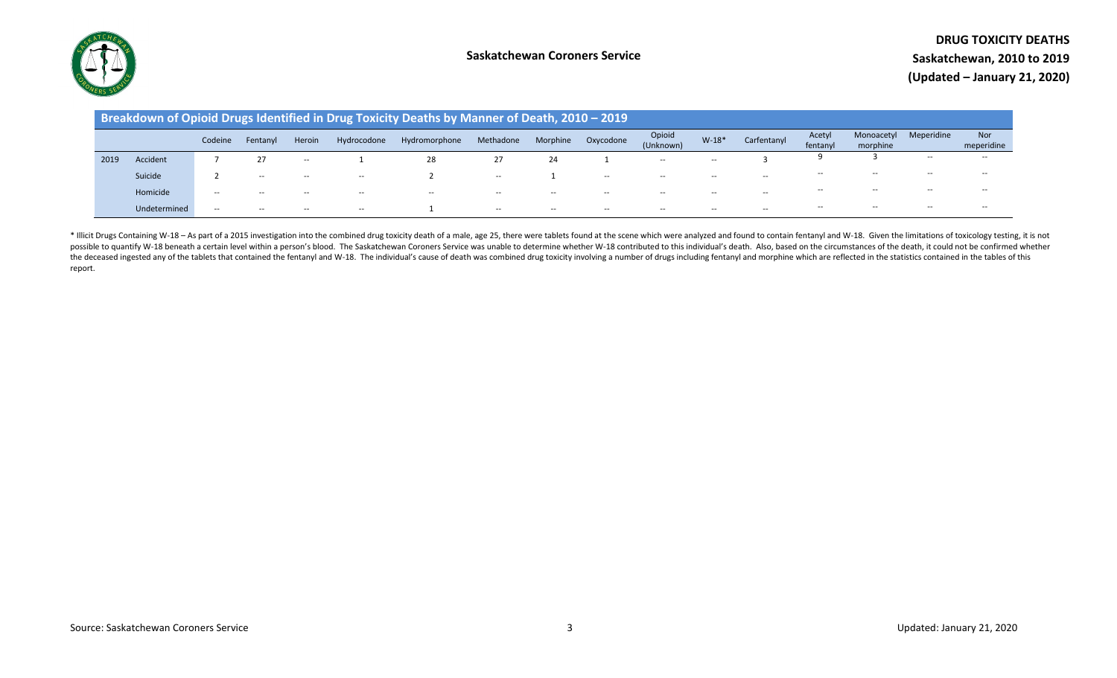

|      |              |         |          |        |             | Breakdown of Opioid Drugs Identified in Drug Toxicity Deaths by Manner of Death, 2010 - 2019 |                                       |          |           |                     |         |                                       |                    |                        |            |                          |
|------|--------------|---------|----------|--------|-------------|----------------------------------------------------------------------------------------------|---------------------------------------|----------|-----------|---------------------|---------|---------------------------------------|--------------------|------------------------|------------|--------------------------|
|      |              | Codeine | Fentanyl | Heroin | Hydrocodone | Hydromorphone                                                                                | Methadone                             | Morphine | Oxycodone | Opioid<br>(Unknown) | $W-18*$ | Carfentanyl                           | Acetyl<br>fentanyl | Monoacetyl<br>morphine | Meperidine | <b>Nor</b><br>meperidine |
| 2019 | Accident     |         |          | $- -$  |             | 28                                                                                           | 27                                    | 24       |           | $- -$               | $- -$   |                                       |                    |                        | $- -$      | $- -$                    |
|      | Suicide      |         | $- -$    | $- -$  | $- -$       |                                                                                              | $- -$                                 |          | $- -$     | $- -$               | $- -$   | $\hspace{0.05cm}$ – $\hspace{0.05cm}$ | $- -$              | $- -$                  | $- -$      | $- -$                    |
|      | Homicide     | $- -$   | $- -$    | $- -$  | $- -$       | $- -$                                                                                        | $\hspace{0.05cm}$ – $\hspace{0.05cm}$ | $- -$    | $- -$     | $- -$               | $- -$   | $\overline{\phantom{a}}$              | $- -$              | $- -$                  | $- -$      | $- -$                    |
|      | Undetermined | $- -$   | $- -$    | $- -$  | $- -$       |                                                                                              | $- -$                                 | $- -$    | $- -$     | $- -$               | $- -$   | $- -$                                 | $- -$              | $- -$                  | $- -$      | $- -$                    |

\* Illicit Drugs Containing W-18 - As part of a 2015 investigation into the combined drug toxicity death of a male, age 25, there were tablets found at the scene which were analyzed and found to contain fentanyl and W-18. G possible to quantify W-18 beneath a certain level within a person's blood. The Saskatchewan Coroners Service was unable to determine whether W-18 contributed to this individual's death. Also, based on the circumstances of the deceased ingested any of the tablets that contained the fentanyl and W-18. The individual's cause of death was combined drug toxicity involving a number of drugs including fentanyl and morphine which are reflected in t report.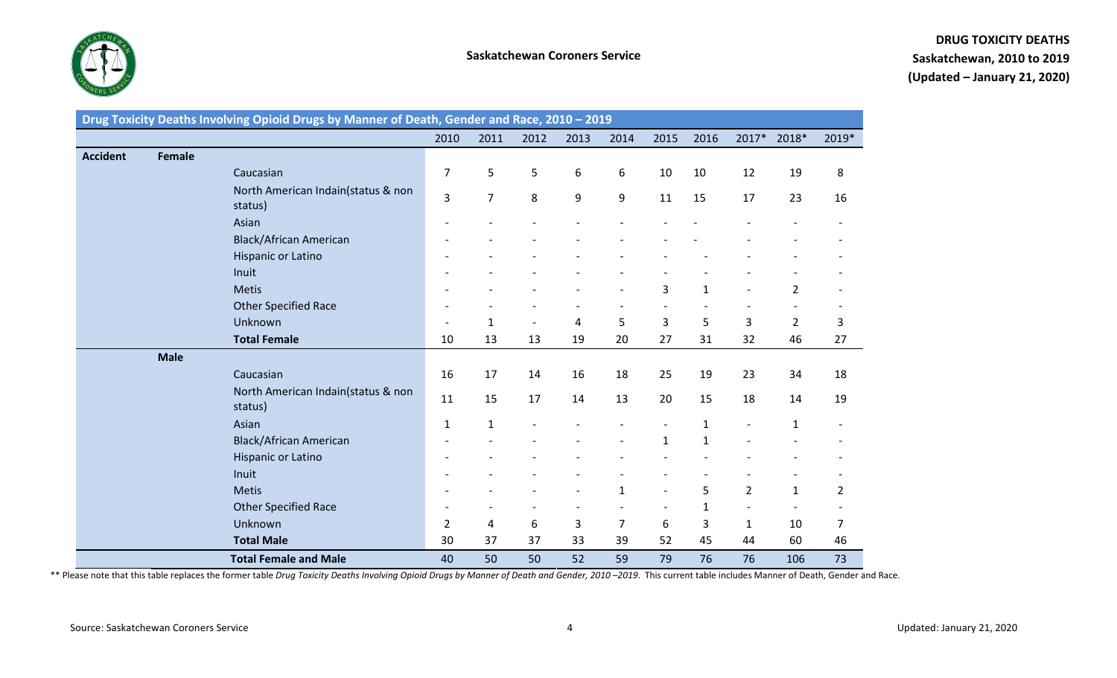

|                 | Drug Toxicity Deaths Involving Opioid Drugs by Manner of Death, Gender and Race, 2010 - 2019 |                |                |                          |                   |                          |                          |              |                |                |       |
|-----------------|----------------------------------------------------------------------------------------------|----------------|----------------|--------------------------|-------------------|--------------------------|--------------------------|--------------|----------------|----------------|-------|
|                 |                                                                                              | 2010           | 2011           | 2012                     | 2013              | 2014                     | 2015                     | 2016         | 2017*          | 2018*          | 2019* |
| <b>Accident</b> | <b>Female</b>                                                                                |                |                |                          |                   |                          |                          |              |                |                |       |
|                 | Caucasian                                                                                    | 7              | 5              | 5                        | 6                 | 6                        | 10                       | 10           | 12             | 19             | 8     |
|                 | North American Indain(status & non<br>status)                                                | 3              | $\overline{7}$ | 8                        | 9                 | 9                        | 11                       | 15           | 17             | 23             | 16    |
|                 | Asian                                                                                        |                |                |                          |                   |                          |                          |              |                |                |       |
|                 | <b>Black/African American</b>                                                                |                |                |                          |                   |                          |                          |              |                |                |       |
|                 | Hispanic or Latino                                                                           |                |                |                          |                   |                          |                          |              |                |                |       |
|                 | Inuit                                                                                        |                |                |                          |                   |                          |                          |              |                |                |       |
|                 | <b>Metis</b>                                                                                 |                |                |                          |                   |                          | 3                        | $\mathbf{1}$ |                | $\overline{2}$ |       |
|                 | <b>Other Specified Race</b>                                                                  |                |                |                          |                   |                          |                          |              |                |                |       |
|                 | Unknown                                                                                      |                | $\mathbf 1$    | $\overline{\phantom{a}}$ | 4                 | 5                        | 3                        | 5            | 3              | $\overline{2}$ | 3     |
|                 | <b>Total Female</b>                                                                          | 10             | 13             | 13                       | 19                | 20                       | 27                       | 31           | 32             | 46             | 27    |
|                 | <b>Male</b>                                                                                  |                |                |                          |                   |                          |                          |              |                |                |       |
|                 | Caucasian                                                                                    | 16             | 17             | 14                       | 16                | 18                       | 25                       | 19           | 23             | 34             | 18    |
|                 | North American Indain(status & non<br>status)                                                | 11             | 15             | 17                       | 14                | 13                       | 20                       | 15           | 18             | 14             | 19    |
|                 | Asian                                                                                        | 1              | 1              |                          |                   |                          | $\overline{\phantom{a}}$ | $\mathbf{1}$ | $\overline{a}$ | $\mathbf{1}$   |       |
|                 | <b>Black/African American</b>                                                                |                |                |                          |                   |                          | $\mathbf{1}$             | $\mathbf{1}$ |                |                |       |
|                 | Hispanic or Latino                                                                           |                |                |                          |                   |                          |                          |              |                |                |       |
|                 | Inuit                                                                                        |                |                |                          |                   |                          |                          |              |                |                |       |
|                 | <b>Metis</b>                                                                                 |                |                |                          | $\qquad \qquad -$ | $\mathbf{1}$             | $\overline{\phantom{a}}$ | 5            | $\overline{2}$ | $\mathbf{1}$   | 2     |
|                 | Other Specified Race                                                                         |                |                |                          | $\overline{a}$    | $\overline{\phantom{a}}$ | $\overline{\phantom{a}}$ | $\mathbf{1}$ | $\overline{a}$ |                |       |
|                 | Unknown                                                                                      | $\overline{2}$ | 4              | 6                        | 3                 | $\overline{7}$           | 6                        | 3            | $\mathbf{1}$   | 10             | 7     |
|                 | <b>Total Male</b>                                                                            | 30             | 37             | 37                       | 33                | 39                       | 52                       | 45           | 44             | 60             | 46    |
|                 | <b>Total Female and Male</b>                                                                 | 40             | 50             | 50                       | 52                | 59                       | 79                       | 76           | 76             | 106            | 73    |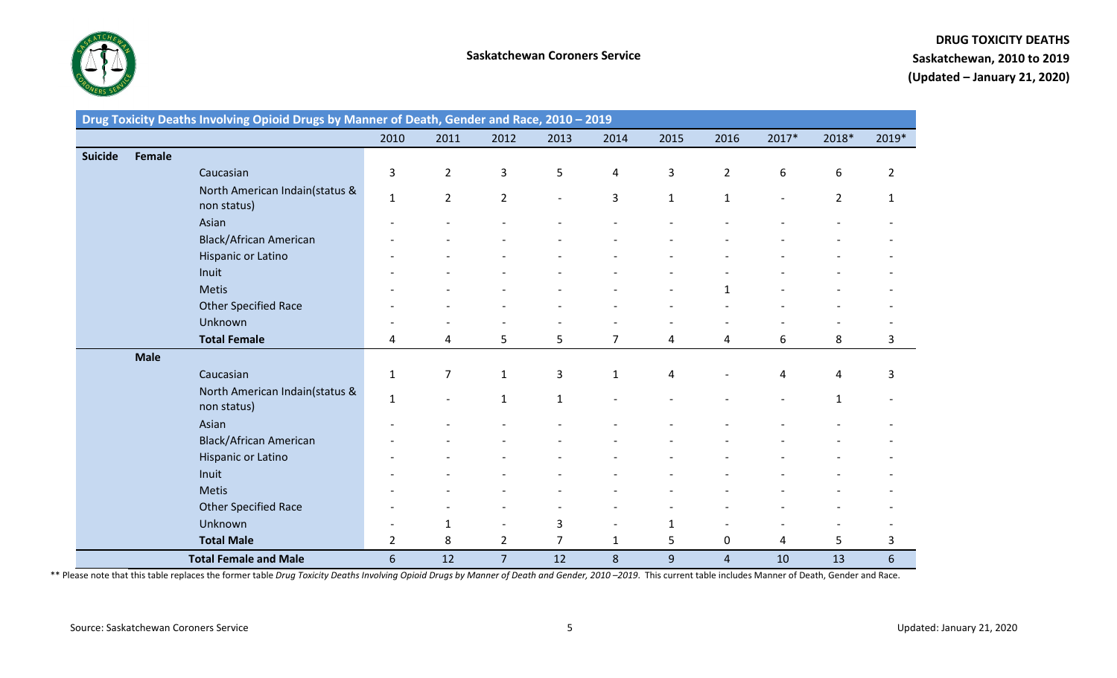

## **DRUG TOXICITY DEATHS Saskatchewan, 2010 to 2019 (Updated – January 21, 2020)**

|                |               | Drug Toxicity Deaths Involving Opioid Drugs by Manner of Death, Gender and Race, 2010 - 2019 |                |                |                          |                          |                |              |                         |                          |                |                |
|----------------|---------------|----------------------------------------------------------------------------------------------|----------------|----------------|--------------------------|--------------------------|----------------|--------------|-------------------------|--------------------------|----------------|----------------|
|                |               |                                                                                              | 2010           | 2011           | 2012                     | 2013                     | 2014           | 2015         | 2016                    | 2017*                    | 2018*          | 2019*          |
| <b>Suicide</b> | <b>Female</b> |                                                                                              |                |                |                          |                          |                |              |                         |                          |                |                |
|                |               | Caucasian                                                                                    | 3              | $\overline{2}$ | 3                        | 5                        | 4              | 3            | $\overline{2}$          | 6                        | 6              | $\overline{2}$ |
|                |               | North American Indain(status &<br>non status)                                                | $\mathbf 1$    | $\overline{2}$ | $\overline{2}$           | $\overline{\phantom{a}}$ | 3              | $\mathbf{1}$ | $\mathbf{1}$            | $\overline{\phantom{a}}$ | $\overline{2}$ | 1              |
|                |               | Asian                                                                                        |                |                |                          |                          |                |              |                         |                          |                |                |
|                |               | <b>Black/African American</b>                                                                |                |                |                          |                          |                |              |                         |                          |                |                |
|                |               | Hispanic or Latino                                                                           |                |                |                          |                          |                |              |                         |                          |                |                |
|                |               | Inuit                                                                                        |                |                |                          |                          |                |              |                         |                          |                |                |
|                |               | <b>Metis</b>                                                                                 |                |                |                          |                          |                |              |                         |                          |                |                |
|                |               | Other Specified Race                                                                         |                |                |                          |                          |                |              |                         |                          |                |                |
|                |               | Unknown                                                                                      |                |                |                          |                          |                |              |                         |                          |                |                |
|                |               | <b>Total Female</b>                                                                          | 4              | 4              | 5                        | 5                        | $\overline{7}$ | 4            | 4                       | 6                        | 8              | 3              |
|                | <b>Male</b>   |                                                                                              |                |                |                          |                          |                |              |                         |                          |                |                |
|                |               | Caucasian                                                                                    | $\mathbf{1}$   | 7              | $\mathbf{1}$             | 3                        | $\mathbf{1}$   | 4            |                         | 4                        | 4              | 3              |
|                |               | North American Indain(status &<br>non status)                                                | $\mathbf{1}$   |                | $\mathbf{1}$             | $\mathbf{1}$             |                |              |                         |                          | $\mathbf{1}$   |                |
|                |               | Asian                                                                                        |                |                |                          |                          |                |              |                         |                          |                |                |
|                |               | <b>Black/African American</b>                                                                |                |                |                          |                          |                |              |                         |                          |                |                |
|                |               | Hispanic or Latino                                                                           |                |                |                          |                          |                |              |                         |                          |                |                |
|                |               | Inuit                                                                                        |                |                |                          |                          |                |              |                         |                          |                |                |
|                |               | <b>Metis</b>                                                                                 |                |                |                          |                          |                |              |                         |                          |                |                |
|                |               | Other Specified Race                                                                         |                |                |                          |                          |                |              |                         |                          |                |                |
|                |               | Unknown                                                                                      |                | 1              | $\overline{\phantom{a}}$ | 3                        |                | 1            |                         |                          |                |                |
|                |               | <b>Total Male</b>                                                                            | $\overline{2}$ | 8              | $\overline{2}$           | $\overline{7}$           | $\mathbf{1}$   | 5            | 0                       | 4                        | 5              | 3              |
|                |               | <b>Total Female and Male</b>                                                                 | 6              | 12             | $\overline{7}$           | 12                       | 8              | 9            | $\overline{\mathbf{4}}$ | 10                       | 13             | $6\,$          |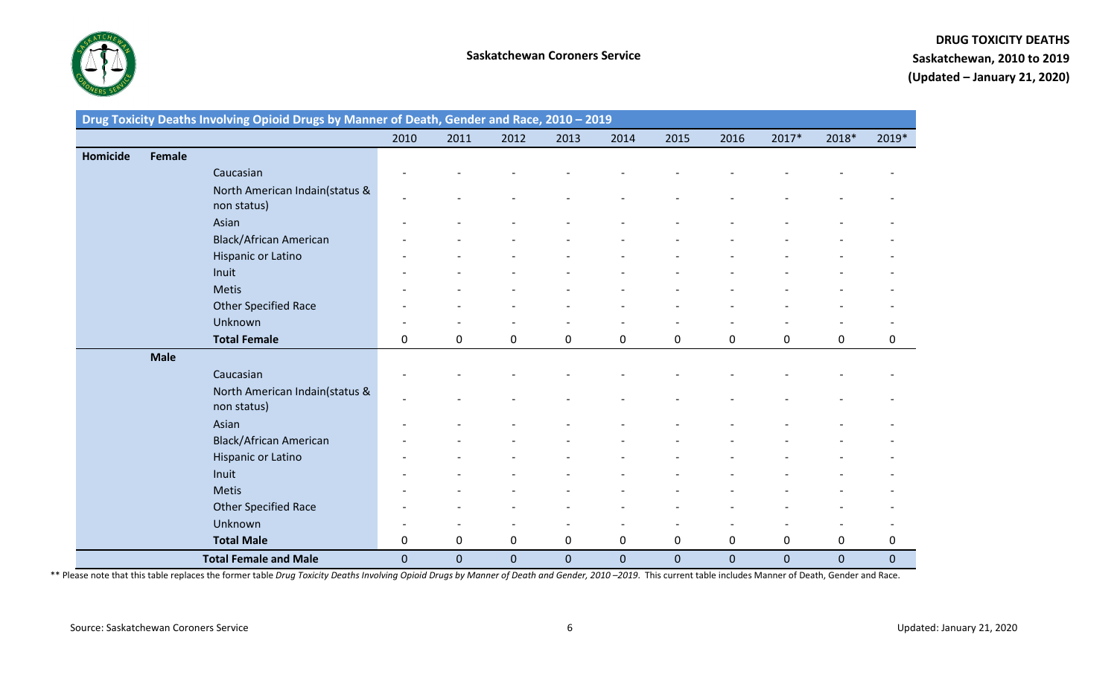

|          |               | Drug Toxicity Deaths Involving Opioid Drugs by Manner of Death, Gender and Race, 2010 - 2019 |                |             |                |              |             |              |             |              |                |             |
|----------|---------------|----------------------------------------------------------------------------------------------|----------------|-------------|----------------|--------------|-------------|--------------|-------------|--------------|----------------|-------------|
|          |               |                                                                                              | 2010           | 2011        | 2012           | 2013         | 2014        | 2015         | 2016        | 2017*        | 2018*          | 2019*       |
| Homicide | <b>Female</b> |                                                                                              |                |             |                |              |             |              |             |              |                |             |
|          |               | Caucasian                                                                                    |                |             |                |              |             |              |             |              |                |             |
|          |               | North American Indain(status &<br>non status)                                                | -              |             |                |              |             |              |             |              |                |             |
|          |               | Asian                                                                                        |                |             |                |              |             |              |             |              |                |             |
|          |               | <b>Black/African American</b>                                                                |                |             |                |              |             |              |             |              |                |             |
|          |               | Hispanic or Latino                                                                           |                |             |                |              |             |              |             |              |                |             |
|          |               | Inuit                                                                                        |                |             |                |              |             |              |             |              |                |             |
|          |               | <b>Metis</b>                                                                                 |                |             |                |              |             |              |             |              |                |             |
|          |               | Other Specified Race                                                                         |                |             |                |              |             |              |             |              |                |             |
|          |               | Unknown                                                                                      |                |             |                |              |             |              |             |              |                |             |
|          |               | <b>Total Female</b>                                                                          | 0              | 0           | 0              | 0            | $\mathbf 0$ | 0            | 0           | 0            | 0              | 0           |
|          | <b>Male</b>   |                                                                                              |                |             |                |              |             |              |             |              |                |             |
|          |               | Caucasian                                                                                    |                |             |                |              |             |              |             |              |                |             |
|          |               | North American Indain(status &<br>non status)                                                |                |             |                |              |             |              |             |              |                |             |
|          |               | Asian                                                                                        |                |             |                |              |             |              |             |              |                |             |
|          |               | <b>Black/African American</b>                                                                |                |             |                |              |             |              |             |              |                |             |
|          |               | Hispanic or Latino                                                                           |                |             |                |              |             |              |             |              |                |             |
|          |               | Inuit                                                                                        |                |             |                |              |             |              |             |              |                |             |
|          |               | <b>Metis</b>                                                                                 |                |             |                |              |             |              |             |              |                |             |
|          |               | Other Specified Race                                                                         |                |             |                |              |             |              |             |              |                |             |
|          |               | Unknown                                                                                      |                |             |                |              |             |              |             |              |                |             |
|          |               | <b>Total Male</b>                                                                            | 0              | $\mathbf 0$ | 0              | 0            | $\mathbf 0$ | 0            | 0           | 0            | 0              | 0           |
|          |               | <b>Total Female and Male</b>                                                                 | $\overline{0}$ | $\mathbf 0$ | $\overline{0}$ | $\mathbf{0}$ | $\mathbf 0$ | $\mathbf{0}$ | $\mathbf 0$ | $\mathbf{0}$ | $\overline{0}$ | $\mathbf 0$ |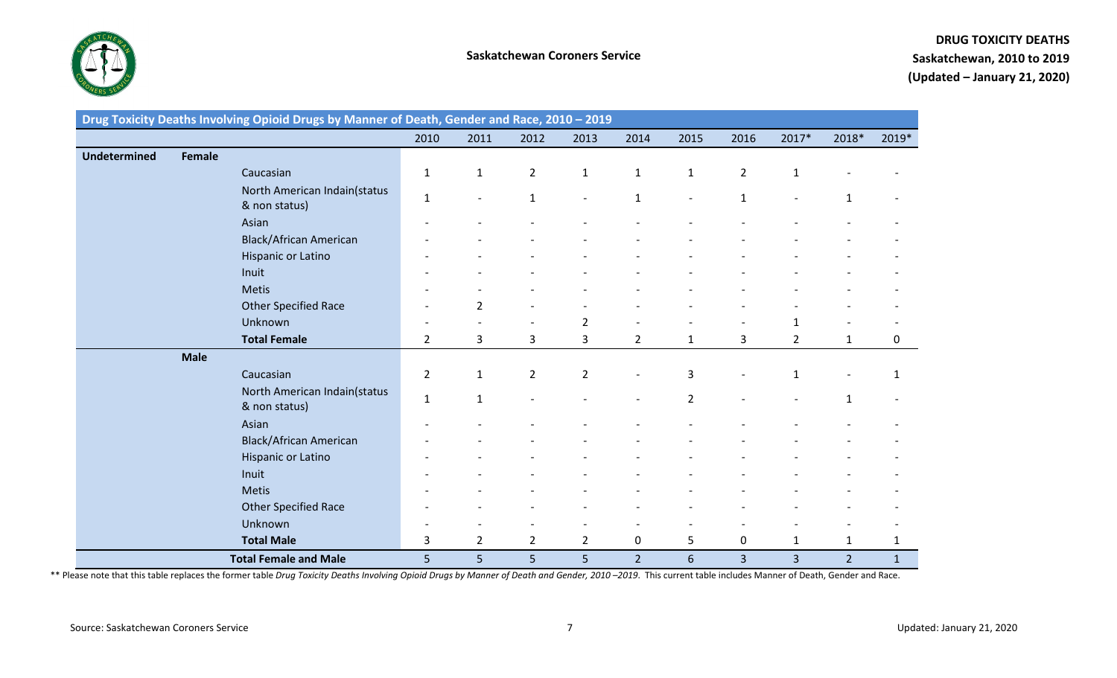

|                     |               | Drug Toxicity Deaths Involving Opioid Drugs by Manner of Death, Gender and Race, 2010 - 2019 |                |                          |                |                          |                              |                |                |                          |                |              |
|---------------------|---------------|----------------------------------------------------------------------------------------------|----------------|--------------------------|----------------|--------------------------|------------------------------|----------------|----------------|--------------------------|----------------|--------------|
|                     |               |                                                                                              | 2010           | 2011                     | 2012           | 2013                     | 2014                         | 2015           | 2016           | 2017*                    | 2018*          | 2019*        |
| <b>Undetermined</b> | <b>Female</b> |                                                                                              |                |                          |                |                          |                              |                |                |                          |                |              |
|                     |               | Caucasian                                                                                    | $\mathbf{1}$   | $\mathbf{1}$             | $\overline{2}$ | $\mathbf{1}$             | $\mathbf{1}$                 | $\mathbf{1}$   | $\overline{2}$ | $\mathbf 1$              |                |              |
|                     |               | North American Indain(status<br>& non status)                                                | $\mathbf{1}$   | $\overline{\phantom{a}}$ | $\mathbf{1}$   | $\overline{\phantom{a}}$ | $\mathbf{1}$                 |                | $\mathbf{1}$   | $\overline{\phantom{0}}$ | 1              |              |
|                     |               | Asian                                                                                        |                |                          |                |                          |                              |                |                |                          |                |              |
|                     |               | <b>Black/African American</b>                                                                |                |                          |                |                          |                              |                |                |                          |                |              |
|                     |               | Hispanic or Latino                                                                           |                |                          |                |                          |                              |                |                |                          |                |              |
|                     |               | Inuit                                                                                        |                |                          |                |                          |                              |                |                |                          |                |              |
|                     |               | <b>Metis</b>                                                                                 |                |                          |                |                          |                              |                |                |                          |                |              |
|                     |               | Other Specified Race                                                                         |                | $\overline{2}$           |                |                          |                              |                |                |                          |                |              |
|                     |               | Unknown                                                                                      |                |                          |                | $\overline{2}$           |                              |                |                | $\mathbf{1}$             |                |              |
|                     |               | <b>Total Female</b>                                                                          | $\overline{2}$ | 3                        | 3              | 3                        | $\overline{2}$               | $\mathbf{1}$   | 3              | $\overline{2}$           | 1              | 0            |
|                     | <b>Male</b>   |                                                                                              |                |                          |                |                          |                              |                |                |                          |                |              |
|                     |               | Caucasian                                                                                    | $\overline{2}$ | $\mathbf{1}$             | $\overline{2}$ | $\overline{2}$           | $\overline{\phantom{0}}$     | 3              |                | $\mathbf{1}$             |                | 1            |
|                     |               | North American Indain(status<br>& non status)                                                | $\mathbf{1}$   | $\mathbf{1}$             |                |                          | $\qquad \qquad \blacksquare$ | $\overline{2}$ |                | $\overline{\phantom{0}}$ | 1              |              |
|                     |               | Asian                                                                                        |                |                          |                |                          |                              |                |                |                          |                |              |
|                     |               | <b>Black/African American</b>                                                                |                |                          |                |                          |                              |                |                |                          |                |              |
|                     |               | Hispanic or Latino                                                                           |                |                          |                |                          |                              |                |                |                          |                |              |
|                     |               | Inuit                                                                                        |                |                          |                |                          |                              |                |                |                          |                |              |
|                     |               | <b>Metis</b>                                                                                 |                |                          |                |                          |                              |                |                |                          |                |              |
|                     |               | Other Specified Race                                                                         |                |                          |                |                          |                              |                |                |                          |                |              |
|                     |               | Unknown                                                                                      |                |                          |                |                          |                              |                |                |                          |                |              |
|                     |               | <b>Total Male</b>                                                                            | 3              | $\overline{2}$           | $\overline{2}$ | $\overline{2}$           | 0                            | 5              | $\mathbf 0$    | $\mathbf{1}$             | $\mathbf{1}$   | $\mathbf{1}$ |
|                     |               | <b>Total Female and Male</b>                                                                 | 5              | 5                        | 5              | 5                        | $\overline{2}$               | $6\phantom{1}$ | $\overline{3}$ | $\overline{3}$           | $\overline{2}$ | $\mathbf{1}$ |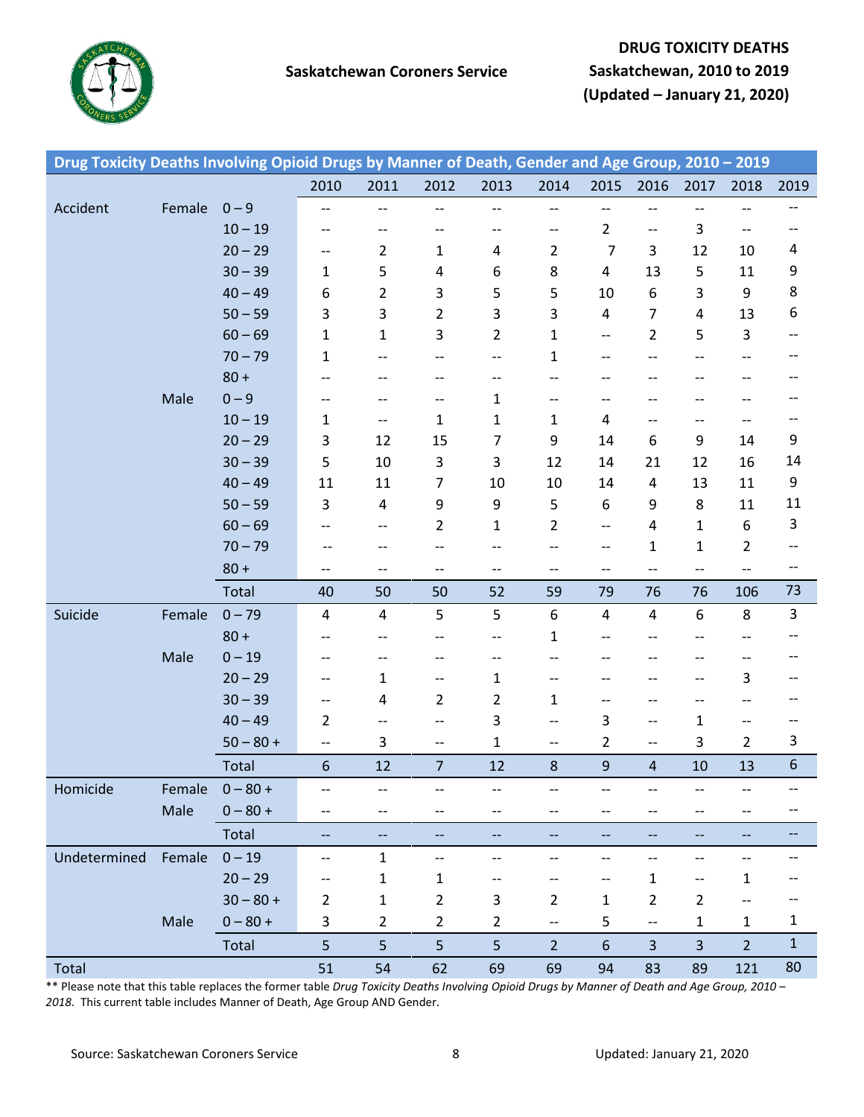

| 2010<br>2011<br>2012<br>2013<br>2014<br>2015<br>2016<br>2017<br>2018<br>2019<br>Accident<br>$0 - 9$<br>Female<br>--<br>--<br>$\overline{\phantom{a}}$<br>$\overline{\phantom{a}}$<br>$- -$<br>$\qquad \qquad -$<br>$-\hbox{--}$<br>--<br>--<br>$10 - 19$<br>$\overline{2}$<br>3<br>$\hspace{0.05cm} -\hspace{0.05cm} -\hspace{0.05cm}$<br>$- -$<br>$\overline{\phantom{a}}$<br>$- -$<br>$- -$<br>$-\!$<br>$-\!$<br>--<br>$\overline{7}$<br>$20 - 29$<br>$\overline{2}$<br>3<br>4<br>$\mathbf{1}$<br>$\overline{2}$<br>12<br>10<br>4<br>$-\!$<br>$30 - 39$<br>5<br>5<br>9<br>8<br>11<br>4<br>6<br>4<br>13<br>$\mathbf{1}$<br>8<br>$\boldsymbol{9}$<br>3<br>$40 - 49$<br>$\overline{2}$<br>5<br>5<br>6<br>3<br>6<br>10<br>13<br>6<br>$50 - 59$<br>3<br>3<br>$\overline{2}$<br>3<br>3<br>4<br>7<br>$\overline{4}$<br>$\ensuremath{\mathsf{3}}$<br>$60 - 69$<br>3<br>$\overline{2}$<br>5<br>$\mathbf{1}$<br>$\mathbf{1}$<br>$\overline{2}$<br>$\mathbf{1}$<br>--<br>$- -$<br>$70 - 79$<br>$\mathbf{1}$<br>$\mathbf{1}$<br>$-\!$ –<br>$-\!$ $\!-$<br>--<br>--<br>$\hspace{0.05cm}$ – $\hspace{0.05cm}$<br>$-\!$<br>$80 +$<br>--<br>$- -$<br>--<br>--<br>$\overline{\phantom{a}}$<br>--<br>$\overline{\phantom{a}}$<br>$0 - 9$<br>Male<br>$\mathbf{1}$<br>$\overline{\phantom{a}}$<br>$- -$<br>--<br>$\overline{\phantom{a}}$<br>--<br>$\overline{\phantom{a}}$<br>$\overline{\phantom{m}}$<br>--<br>$-$<br>$10 - 19$<br>$\mathbf{1}$<br>$\mathbf{1}$<br>$\mathbf{1}$<br>$\mathbf{1}$<br>4<br>$\overline{\phantom{a}}$<br>--<br>$-\, -$<br>9<br>$20 - 29$<br>9<br>3<br>15<br>$\overline{7}$<br>9<br>12<br>14<br>6<br>14<br>3<br>14<br>$30 - 39$<br>5<br>3<br>12<br>16<br>10<br>14<br>12<br>21<br>9<br>$40 - 49$<br>$\overline{7}$<br>10<br>13<br>11<br>11<br>11<br>10<br>14<br>4<br>9<br>5<br>11<br>$50 - 59$<br>9<br>8<br>3<br>4<br>6<br>9<br>11<br>3<br>$60 - 69$<br>$\boldsymbol{6}$<br>$\overline{2}$<br>$\mathbf{1}$<br>$\overline{2}$<br>4<br>$\mathbf{1}$<br>$\overline{\phantom{a}}$<br>$- -$<br>--<br>$70 - 79$<br>$\overline{2}$<br>$\mathbf{1}$<br>$\mathbf{1}$<br>$- -$<br>--<br>$- -$<br>--<br>--<br>$-\, -$<br>$\overline{\phantom{m}}$<br>$80 +$<br>$\hspace{0.05cm} -\hspace{0.05cm} -\hspace{0.05cm}$<br>$- -$<br>$\overline{\phantom{a}}$<br>$- -$<br>--<br>--<br>--<br>$-\!$<br>$-\!$<br>$-\,$<br>73<br>Total<br>106<br>40<br>50<br>50<br>52<br>59<br>79<br>76<br>76<br>$\mathbf{3}$<br>5<br>5<br>6<br>8<br>Suicide<br>$0 - 79$<br>6<br>Female<br>4<br>4<br>4<br>4<br>$80 +$<br>$\mathbf{1}$<br>--<br>--<br>$-$<br>--<br>$\hspace{0.05cm}$ $\hspace{0.05cm}$<br>$-$<br>--<br>$0 - 19$<br>Male<br>--<br>--<br>--<br>--<br>$-$<br>--<br>$20 - 29$<br>3<br>$\mathbf{1}$<br>$\mathbf{1}$<br>$\hspace{0.05cm} \dashrightarrow$<br>$\overline{\phantom{a}}$<br>$\overline{\phantom{a}}$<br>$-\!$<br>$\overline{\phantom{a}}$<br>$\overline{2}$<br>$30 - 39$<br>$\overline{2}$<br>4<br>$\mathbf{1}$<br>$\hspace{0.05cm} \dashrightarrow$<br>--<br>$\overline{\phantom{m}}$<br>$-\hbox{--}$<br>$\overline{\phantom{m}}$<br>$40 - 49$<br>3<br>3<br>$\overline{2}$<br>$\mathbf{1}$<br>$\overline{\phantom{a}}$<br>$\hspace{0.05cm} -\hspace{0.05cm} -\hspace{0.05cm}$<br>$\overline{\phantom{a}}$<br>--<br>$-\hbox{--}$<br>$-\!$ $\!-$<br>3<br>$50 - 80 +$<br>$\overline{2}$<br>3<br>$\overline{2}$<br>3<br>1<br>$\hspace{0.05cm} -\hspace{0.05cm} -\hspace{0.05cm}$<br>$\overline{\phantom{a}}$<br>$\overline{\phantom{a}}$<br>$- -$<br>6 <sup>1</sup><br>9<br>Total<br>$6\phantom{.}$<br>12<br>$\overline{7}$<br>12<br>8<br>10<br>13<br>$\overline{4}$<br>Homicide<br>Female $0-80+$<br>Male<br>$0 - 80 +$<br>--<br>$- -$<br>$- -$<br>$- -$<br>--<br>$- -$<br>$-\!$ $\!-$<br>$\overline{\phantom{m}}$<br>$\overline{\phantom{m}}$<br>$\qquad \qquad -$<br>Total<br>$\overline{\phantom{a}}$<br>$\rightarrow$<br>--<br>$\hspace{0.05cm} \dashrightarrow$<br>÷÷<br>÷÷<br>$\overline{\phantom{a}}$<br>$\overline{\phantom{m}}$<br>$- -$<br>Undetermined<br>Female $0-19$<br>$\mathbf{1}$<br>$\hspace{0.05cm} -\hspace{0.05cm} -\hspace{0.05cm}$<br>$\overline{\phantom{a}}$<br>$- -$<br>$\overline{\phantom{a}}$<br>$\overline{\phantom{a}}$<br>$-\hbox{--}$<br>--<br>--<br>$-\, -$<br>$\mathbf 1$<br>$20 - 29$<br>$\mathbf{1}$<br>$\mathbf{1}$<br>$\mathbf{1}$<br>--<br>--<br>$\overline{\phantom{m}}$<br>--<br>--<br>$-\!$<br>$\overline{2}$<br>$\overline{2}$<br>$\overline{2}$<br>3<br>$\overline{2}$<br>$\overline{2}$<br>$30 - 80 +$<br>$\mathbf{1}$<br>$\mathbf{1}$<br>$-\hbox{--}$<br>--<br>$\mathbf{1}$<br>$0 - 80 +$<br>3<br>$\overline{2}$<br>$\overline{2}$<br>5<br>$\mathbf{1}$<br>Male<br>$\overline{2}$<br>$\mathbf{1}$<br>$\overline{\phantom{a}}$<br>$\hspace{0.05cm} \dashrightarrow$<br>$\overline{2}$<br>$\mathbf{1}$<br>5<br>5<br>5<br>$\overline{3}$<br>5<br>$\boldsymbol{6}$<br>$\overline{3}$<br>$\overline{2}$<br>Total | Drug Toxicity Deaths Involving Opioid Drugs by Manner of Death, Gender and Age Group, 2010 - 2019 |  |    |    |    |    |    |    |    |    |     |    |
|----------------------------------------------------------------------------------------------------------------------------------------------------------------------------------------------------------------------------------------------------------------------------------------------------------------------------------------------------------------------------------------------------------------------------------------------------------------------------------------------------------------------------------------------------------------------------------------------------------------------------------------------------------------------------------------------------------------------------------------------------------------------------------------------------------------------------------------------------------------------------------------------------------------------------------------------------------------------------------------------------------------------------------------------------------------------------------------------------------------------------------------------------------------------------------------------------------------------------------------------------------------------------------------------------------------------------------------------------------------------------------------------------------------------------------------------------------------------------------------------------------------------------------------------------------------------------------------------------------------------------------------------------------------------------------------------------------------------------------------------------------------------------------------------------------------------------------------------------------------------------------------------------------------------------------------------------------------------------------------------------------------------------------------------------------------------------------------------------------------------------------------------------------------------------------------------------------------------------------------------------------------------------------------------------------------------------------------------------------------------------------------------------------------------------------------------------------------------------------------------------------------------------------------------------------------------------------------------------------------------------------------------------------------------------------------------------------------------------------------------------------------------------------------------------------------------------------------------------------------------------------------------------------------------------------------------------------------------------------------------------------------------------------------------------------------------------------------------------------------------------------------------------------------------------------------------------------------------------------------------------------------------------------------------------------------------------------------------------------------------------------------------------------------------------------------------------------------------------------------------------------------------------------------------------------------------------------------------------------------------------------------------------------------------------------------------------------------------------------------------------------------------------------------------------------------------------------------------------------------------------------------------------------------------------------------------------------------------------------------------------------------------------------------------------------------------------------------------------------------------------------------------------------------------------------------------------------------------------------------------------------------------------------------------------------------------------------------------------------------------------------------------------------------------------------------------------------------------------------------------------------------------------------------------------------------------------------------------------------------------------------------------------------------------------------------------------------------------------------------------------------------------------------------------------------------------------------------------------|---------------------------------------------------------------------------------------------------|--|----|----|----|----|----|----|----|----|-----|----|
|                                                                                                                                                                                                                                                                                                                                                                                                                                                                                                                                                                                                                                                                                                                                                                                                                                                                                                                                                                                                                                                                                                                                                                                                                                                                                                                                                                                                                                                                                                                                                                                                                                                                                                                                                                                                                                                                                                                                                                                                                                                                                                                                                                                                                                                                                                                                                                                                                                                                                                                                                                                                                                                                                                                                                                                                                                                                                                                                                                                                                                                                                                                                                                                                                                                                                                                                                                                                                                                                                                                                                                                                                                                                                                                                                                                                                                                                                                                                                                                                                                                                                                                                                                                                                                                                                                                                                                                                                                                                                                                                                                                                                                                                                                                                                                                                                                                    |                                                                                                   |  |    |    |    |    |    |    |    |    |     |    |
|                                                                                                                                                                                                                                                                                                                                                                                                                                                                                                                                                                                                                                                                                                                                                                                                                                                                                                                                                                                                                                                                                                                                                                                                                                                                                                                                                                                                                                                                                                                                                                                                                                                                                                                                                                                                                                                                                                                                                                                                                                                                                                                                                                                                                                                                                                                                                                                                                                                                                                                                                                                                                                                                                                                                                                                                                                                                                                                                                                                                                                                                                                                                                                                                                                                                                                                                                                                                                                                                                                                                                                                                                                                                                                                                                                                                                                                                                                                                                                                                                                                                                                                                                                                                                                                                                                                                                                                                                                                                                                                                                                                                                                                                                                                                                                                                                                                    |                                                                                                   |  |    |    |    |    |    |    |    |    |     |    |
|                                                                                                                                                                                                                                                                                                                                                                                                                                                                                                                                                                                                                                                                                                                                                                                                                                                                                                                                                                                                                                                                                                                                                                                                                                                                                                                                                                                                                                                                                                                                                                                                                                                                                                                                                                                                                                                                                                                                                                                                                                                                                                                                                                                                                                                                                                                                                                                                                                                                                                                                                                                                                                                                                                                                                                                                                                                                                                                                                                                                                                                                                                                                                                                                                                                                                                                                                                                                                                                                                                                                                                                                                                                                                                                                                                                                                                                                                                                                                                                                                                                                                                                                                                                                                                                                                                                                                                                                                                                                                                                                                                                                                                                                                                                                                                                                                                                    |                                                                                                   |  |    |    |    |    |    |    |    |    |     |    |
|                                                                                                                                                                                                                                                                                                                                                                                                                                                                                                                                                                                                                                                                                                                                                                                                                                                                                                                                                                                                                                                                                                                                                                                                                                                                                                                                                                                                                                                                                                                                                                                                                                                                                                                                                                                                                                                                                                                                                                                                                                                                                                                                                                                                                                                                                                                                                                                                                                                                                                                                                                                                                                                                                                                                                                                                                                                                                                                                                                                                                                                                                                                                                                                                                                                                                                                                                                                                                                                                                                                                                                                                                                                                                                                                                                                                                                                                                                                                                                                                                                                                                                                                                                                                                                                                                                                                                                                                                                                                                                                                                                                                                                                                                                                                                                                                                                                    |                                                                                                   |  |    |    |    |    |    |    |    |    |     |    |
|                                                                                                                                                                                                                                                                                                                                                                                                                                                                                                                                                                                                                                                                                                                                                                                                                                                                                                                                                                                                                                                                                                                                                                                                                                                                                                                                                                                                                                                                                                                                                                                                                                                                                                                                                                                                                                                                                                                                                                                                                                                                                                                                                                                                                                                                                                                                                                                                                                                                                                                                                                                                                                                                                                                                                                                                                                                                                                                                                                                                                                                                                                                                                                                                                                                                                                                                                                                                                                                                                                                                                                                                                                                                                                                                                                                                                                                                                                                                                                                                                                                                                                                                                                                                                                                                                                                                                                                                                                                                                                                                                                                                                                                                                                                                                                                                                                                    |                                                                                                   |  |    |    |    |    |    |    |    |    |     |    |
|                                                                                                                                                                                                                                                                                                                                                                                                                                                                                                                                                                                                                                                                                                                                                                                                                                                                                                                                                                                                                                                                                                                                                                                                                                                                                                                                                                                                                                                                                                                                                                                                                                                                                                                                                                                                                                                                                                                                                                                                                                                                                                                                                                                                                                                                                                                                                                                                                                                                                                                                                                                                                                                                                                                                                                                                                                                                                                                                                                                                                                                                                                                                                                                                                                                                                                                                                                                                                                                                                                                                                                                                                                                                                                                                                                                                                                                                                                                                                                                                                                                                                                                                                                                                                                                                                                                                                                                                                                                                                                                                                                                                                                                                                                                                                                                                                                                    |                                                                                                   |  |    |    |    |    |    |    |    |    |     |    |
|                                                                                                                                                                                                                                                                                                                                                                                                                                                                                                                                                                                                                                                                                                                                                                                                                                                                                                                                                                                                                                                                                                                                                                                                                                                                                                                                                                                                                                                                                                                                                                                                                                                                                                                                                                                                                                                                                                                                                                                                                                                                                                                                                                                                                                                                                                                                                                                                                                                                                                                                                                                                                                                                                                                                                                                                                                                                                                                                                                                                                                                                                                                                                                                                                                                                                                                                                                                                                                                                                                                                                                                                                                                                                                                                                                                                                                                                                                                                                                                                                                                                                                                                                                                                                                                                                                                                                                                                                                                                                                                                                                                                                                                                                                                                                                                                                                                    |                                                                                                   |  |    |    |    |    |    |    |    |    |     |    |
|                                                                                                                                                                                                                                                                                                                                                                                                                                                                                                                                                                                                                                                                                                                                                                                                                                                                                                                                                                                                                                                                                                                                                                                                                                                                                                                                                                                                                                                                                                                                                                                                                                                                                                                                                                                                                                                                                                                                                                                                                                                                                                                                                                                                                                                                                                                                                                                                                                                                                                                                                                                                                                                                                                                                                                                                                                                                                                                                                                                                                                                                                                                                                                                                                                                                                                                                                                                                                                                                                                                                                                                                                                                                                                                                                                                                                                                                                                                                                                                                                                                                                                                                                                                                                                                                                                                                                                                                                                                                                                                                                                                                                                                                                                                                                                                                                                                    |                                                                                                   |  |    |    |    |    |    |    |    |    |     |    |
|                                                                                                                                                                                                                                                                                                                                                                                                                                                                                                                                                                                                                                                                                                                                                                                                                                                                                                                                                                                                                                                                                                                                                                                                                                                                                                                                                                                                                                                                                                                                                                                                                                                                                                                                                                                                                                                                                                                                                                                                                                                                                                                                                                                                                                                                                                                                                                                                                                                                                                                                                                                                                                                                                                                                                                                                                                                                                                                                                                                                                                                                                                                                                                                                                                                                                                                                                                                                                                                                                                                                                                                                                                                                                                                                                                                                                                                                                                                                                                                                                                                                                                                                                                                                                                                                                                                                                                                                                                                                                                                                                                                                                                                                                                                                                                                                                                                    |                                                                                                   |  |    |    |    |    |    |    |    |    |     |    |
|                                                                                                                                                                                                                                                                                                                                                                                                                                                                                                                                                                                                                                                                                                                                                                                                                                                                                                                                                                                                                                                                                                                                                                                                                                                                                                                                                                                                                                                                                                                                                                                                                                                                                                                                                                                                                                                                                                                                                                                                                                                                                                                                                                                                                                                                                                                                                                                                                                                                                                                                                                                                                                                                                                                                                                                                                                                                                                                                                                                                                                                                                                                                                                                                                                                                                                                                                                                                                                                                                                                                                                                                                                                                                                                                                                                                                                                                                                                                                                                                                                                                                                                                                                                                                                                                                                                                                                                                                                                                                                                                                                                                                                                                                                                                                                                                                                                    |                                                                                                   |  |    |    |    |    |    |    |    |    |     |    |
|                                                                                                                                                                                                                                                                                                                                                                                                                                                                                                                                                                                                                                                                                                                                                                                                                                                                                                                                                                                                                                                                                                                                                                                                                                                                                                                                                                                                                                                                                                                                                                                                                                                                                                                                                                                                                                                                                                                                                                                                                                                                                                                                                                                                                                                                                                                                                                                                                                                                                                                                                                                                                                                                                                                                                                                                                                                                                                                                                                                                                                                                                                                                                                                                                                                                                                                                                                                                                                                                                                                                                                                                                                                                                                                                                                                                                                                                                                                                                                                                                                                                                                                                                                                                                                                                                                                                                                                                                                                                                                                                                                                                                                                                                                                                                                                                                                                    |                                                                                                   |  |    |    |    |    |    |    |    |    |     |    |
|                                                                                                                                                                                                                                                                                                                                                                                                                                                                                                                                                                                                                                                                                                                                                                                                                                                                                                                                                                                                                                                                                                                                                                                                                                                                                                                                                                                                                                                                                                                                                                                                                                                                                                                                                                                                                                                                                                                                                                                                                                                                                                                                                                                                                                                                                                                                                                                                                                                                                                                                                                                                                                                                                                                                                                                                                                                                                                                                                                                                                                                                                                                                                                                                                                                                                                                                                                                                                                                                                                                                                                                                                                                                                                                                                                                                                                                                                                                                                                                                                                                                                                                                                                                                                                                                                                                                                                                                                                                                                                                                                                                                                                                                                                                                                                                                                                                    |                                                                                                   |  |    |    |    |    |    |    |    |    |     |    |
|                                                                                                                                                                                                                                                                                                                                                                                                                                                                                                                                                                                                                                                                                                                                                                                                                                                                                                                                                                                                                                                                                                                                                                                                                                                                                                                                                                                                                                                                                                                                                                                                                                                                                                                                                                                                                                                                                                                                                                                                                                                                                                                                                                                                                                                                                                                                                                                                                                                                                                                                                                                                                                                                                                                                                                                                                                                                                                                                                                                                                                                                                                                                                                                                                                                                                                                                                                                                                                                                                                                                                                                                                                                                                                                                                                                                                                                                                                                                                                                                                                                                                                                                                                                                                                                                                                                                                                                                                                                                                                                                                                                                                                                                                                                                                                                                                                                    |                                                                                                   |  |    |    |    |    |    |    |    |    |     |    |
|                                                                                                                                                                                                                                                                                                                                                                                                                                                                                                                                                                                                                                                                                                                                                                                                                                                                                                                                                                                                                                                                                                                                                                                                                                                                                                                                                                                                                                                                                                                                                                                                                                                                                                                                                                                                                                                                                                                                                                                                                                                                                                                                                                                                                                                                                                                                                                                                                                                                                                                                                                                                                                                                                                                                                                                                                                                                                                                                                                                                                                                                                                                                                                                                                                                                                                                                                                                                                                                                                                                                                                                                                                                                                                                                                                                                                                                                                                                                                                                                                                                                                                                                                                                                                                                                                                                                                                                                                                                                                                                                                                                                                                                                                                                                                                                                                                                    |                                                                                                   |  |    |    |    |    |    |    |    |    |     |    |
|                                                                                                                                                                                                                                                                                                                                                                                                                                                                                                                                                                                                                                                                                                                                                                                                                                                                                                                                                                                                                                                                                                                                                                                                                                                                                                                                                                                                                                                                                                                                                                                                                                                                                                                                                                                                                                                                                                                                                                                                                                                                                                                                                                                                                                                                                                                                                                                                                                                                                                                                                                                                                                                                                                                                                                                                                                                                                                                                                                                                                                                                                                                                                                                                                                                                                                                                                                                                                                                                                                                                                                                                                                                                                                                                                                                                                                                                                                                                                                                                                                                                                                                                                                                                                                                                                                                                                                                                                                                                                                                                                                                                                                                                                                                                                                                                                                                    |                                                                                                   |  |    |    |    |    |    |    |    |    |     |    |
|                                                                                                                                                                                                                                                                                                                                                                                                                                                                                                                                                                                                                                                                                                                                                                                                                                                                                                                                                                                                                                                                                                                                                                                                                                                                                                                                                                                                                                                                                                                                                                                                                                                                                                                                                                                                                                                                                                                                                                                                                                                                                                                                                                                                                                                                                                                                                                                                                                                                                                                                                                                                                                                                                                                                                                                                                                                                                                                                                                                                                                                                                                                                                                                                                                                                                                                                                                                                                                                                                                                                                                                                                                                                                                                                                                                                                                                                                                                                                                                                                                                                                                                                                                                                                                                                                                                                                                                                                                                                                                                                                                                                                                                                                                                                                                                                                                                    |                                                                                                   |  |    |    |    |    |    |    |    |    |     |    |
|                                                                                                                                                                                                                                                                                                                                                                                                                                                                                                                                                                                                                                                                                                                                                                                                                                                                                                                                                                                                                                                                                                                                                                                                                                                                                                                                                                                                                                                                                                                                                                                                                                                                                                                                                                                                                                                                                                                                                                                                                                                                                                                                                                                                                                                                                                                                                                                                                                                                                                                                                                                                                                                                                                                                                                                                                                                                                                                                                                                                                                                                                                                                                                                                                                                                                                                                                                                                                                                                                                                                                                                                                                                                                                                                                                                                                                                                                                                                                                                                                                                                                                                                                                                                                                                                                                                                                                                                                                                                                                                                                                                                                                                                                                                                                                                                                                                    |                                                                                                   |  |    |    |    |    |    |    |    |    |     |    |
|                                                                                                                                                                                                                                                                                                                                                                                                                                                                                                                                                                                                                                                                                                                                                                                                                                                                                                                                                                                                                                                                                                                                                                                                                                                                                                                                                                                                                                                                                                                                                                                                                                                                                                                                                                                                                                                                                                                                                                                                                                                                                                                                                                                                                                                                                                                                                                                                                                                                                                                                                                                                                                                                                                                                                                                                                                                                                                                                                                                                                                                                                                                                                                                                                                                                                                                                                                                                                                                                                                                                                                                                                                                                                                                                                                                                                                                                                                                                                                                                                                                                                                                                                                                                                                                                                                                                                                                                                                                                                                                                                                                                                                                                                                                                                                                                                                                    |                                                                                                   |  |    |    |    |    |    |    |    |    |     |    |
|                                                                                                                                                                                                                                                                                                                                                                                                                                                                                                                                                                                                                                                                                                                                                                                                                                                                                                                                                                                                                                                                                                                                                                                                                                                                                                                                                                                                                                                                                                                                                                                                                                                                                                                                                                                                                                                                                                                                                                                                                                                                                                                                                                                                                                                                                                                                                                                                                                                                                                                                                                                                                                                                                                                                                                                                                                                                                                                                                                                                                                                                                                                                                                                                                                                                                                                                                                                                                                                                                                                                                                                                                                                                                                                                                                                                                                                                                                                                                                                                                                                                                                                                                                                                                                                                                                                                                                                                                                                                                                                                                                                                                                                                                                                                                                                                                                                    |                                                                                                   |  |    |    |    |    |    |    |    |    |     |    |
|                                                                                                                                                                                                                                                                                                                                                                                                                                                                                                                                                                                                                                                                                                                                                                                                                                                                                                                                                                                                                                                                                                                                                                                                                                                                                                                                                                                                                                                                                                                                                                                                                                                                                                                                                                                                                                                                                                                                                                                                                                                                                                                                                                                                                                                                                                                                                                                                                                                                                                                                                                                                                                                                                                                                                                                                                                                                                                                                                                                                                                                                                                                                                                                                                                                                                                                                                                                                                                                                                                                                                                                                                                                                                                                                                                                                                                                                                                                                                                                                                                                                                                                                                                                                                                                                                                                                                                                                                                                                                                                                                                                                                                                                                                                                                                                                                                                    |                                                                                                   |  |    |    |    |    |    |    |    |    |     |    |
|                                                                                                                                                                                                                                                                                                                                                                                                                                                                                                                                                                                                                                                                                                                                                                                                                                                                                                                                                                                                                                                                                                                                                                                                                                                                                                                                                                                                                                                                                                                                                                                                                                                                                                                                                                                                                                                                                                                                                                                                                                                                                                                                                                                                                                                                                                                                                                                                                                                                                                                                                                                                                                                                                                                                                                                                                                                                                                                                                                                                                                                                                                                                                                                                                                                                                                                                                                                                                                                                                                                                                                                                                                                                                                                                                                                                                                                                                                                                                                                                                                                                                                                                                                                                                                                                                                                                                                                                                                                                                                                                                                                                                                                                                                                                                                                                                                                    |                                                                                                   |  |    |    |    |    |    |    |    |    |     |    |
|                                                                                                                                                                                                                                                                                                                                                                                                                                                                                                                                                                                                                                                                                                                                                                                                                                                                                                                                                                                                                                                                                                                                                                                                                                                                                                                                                                                                                                                                                                                                                                                                                                                                                                                                                                                                                                                                                                                                                                                                                                                                                                                                                                                                                                                                                                                                                                                                                                                                                                                                                                                                                                                                                                                                                                                                                                                                                                                                                                                                                                                                                                                                                                                                                                                                                                                                                                                                                                                                                                                                                                                                                                                                                                                                                                                                                                                                                                                                                                                                                                                                                                                                                                                                                                                                                                                                                                                                                                                                                                                                                                                                                                                                                                                                                                                                                                                    |                                                                                                   |  |    |    |    |    |    |    |    |    |     |    |
|                                                                                                                                                                                                                                                                                                                                                                                                                                                                                                                                                                                                                                                                                                                                                                                                                                                                                                                                                                                                                                                                                                                                                                                                                                                                                                                                                                                                                                                                                                                                                                                                                                                                                                                                                                                                                                                                                                                                                                                                                                                                                                                                                                                                                                                                                                                                                                                                                                                                                                                                                                                                                                                                                                                                                                                                                                                                                                                                                                                                                                                                                                                                                                                                                                                                                                                                                                                                                                                                                                                                                                                                                                                                                                                                                                                                                                                                                                                                                                                                                                                                                                                                                                                                                                                                                                                                                                                                                                                                                                                                                                                                                                                                                                                                                                                                                                                    |                                                                                                   |  |    |    |    |    |    |    |    |    |     |    |
|                                                                                                                                                                                                                                                                                                                                                                                                                                                                                                                                                                                                                                                                                                                                                                                                                                                                                                                                                                                                                                                                                                                                                                                                                                                                                                                                                                                                                                                                                                                                                                                                                                                                                                                                                                                                                                                                                                                                                                                                                                                                                                                                                                                                                                                                                                                                                                                                                                                                                                                                                                                                                                                                                                                                                                                                                                                                                                                                                                                                                                                                                                                                                                                                                                                                                                                                                                                                                                                                                                                                                                                                                                                                                                                                                                                                                                                                                                                                                                                                                                                                                                                                                                                                                                                                                                                                                                                                                                                                                                                                                                                                                                                                                                                                                                                                                                                    |                                                                                                   |  |    |    |    |    |    |    |    |    |     |    |
|                                                                                                                                                                                                                                                                                                                                                                                                                                                                                                                                                                                                                                                                                                                                                                                                                                                                                                                                                                                                                                                                                                                                                                                                                                                                                                                                                                                                                                                                                                                                                                                                                                                                                                                                                                                                                                                                                                                                                                                                                                                                                                                                                                                                                                                                                                                                                                                                                                                                                                                                                                                                                                                                                                                                                                                                                                                                                                                                                                                                                                                                                                                                                                                                                                                                                                                                                                                                                                                                                                                                                                                                                                                                                                                                                                                                                                                                                                                                                                                                                                                                                                                                                                                                                                                                                                                                                                                                                                                                                                                                                                                                                                                                                                                                                                                                                                                    |                                                                                                   |  |    |    |    |    |    |    |    |    |     |    |
|                                                                                                                                                                                                                                                                                                                                                                                                                                                                                                                                                                                                                                                                                                                                                                                                                                                                                                                                                                                                                                                                                                                                                                                                                                                                                                                                                                                                                                                                                                                                                                                                                                                                                                                                                                                                                                                                                                                                                                                                                                                                                                                                                                                                                                                                                                                                                                                                                                                                                                                                                                                                                                                                                                                                                                                                                                                                                                                                                                                                                                                                                                                                                                                                                                                                                                                                                                                                                                                                                                                                                                                                                                                                                                                                                                                                                                                                                                                                                                                                                                                                                                                                                                                                                                                                                                                                                                                                                                                                                                                                                                                                                                                                                                                                                                                                                                                    |                                                                                                   |  |    |    |    |    |    |    |    |    |     |    |
|                                                                                                                                                                                                                                                                                                                                                                                                                                                                                                                                                                                                                                                                                                                                                                                                                                                                                                                                                                                                                                                                                                                                                                                                                                                                                                                                                                                                                                                                                                                                                                                                                                                                                                                                                                                                                                                                                                                                                                                                                                                                                                                                                                                                                                                                                                                                                                                                                                                                                                                                                                                                                                                                                                                                                                                                                                                                                                                                                                                                                                                                                                                                                                                                                                                                                                                                                                                                                                                                                                                                                                                                                                                                                                                                                                                                                                                                                                                                                                                                                                                                                                                                                                                                                                                                                                                                                                                                                                                                                                                                                                                                                                                                                                                                                                                                                                                    |                                                                                                   |  |    |    |    |    |    |    |    |    |     |    |
|                                                                                                                                                                                                                                                                                                                                                                                                                                                                                                                                                                                                                                                                                                                                                                                                                                                                                                                                                                                                                                                                                                                                                                                                                                                                                                                                                                                                                                                                                                                                                                                                                                                                                                                                                                                                                                                                                                                                                                                                                                                                                                                                                                                                                                                                                                                                                                                                                                                                                                                                                                                                                                                                                                                                                                                                                                                                                                                                                                                                                                                                                                                                                                                                                                                                                                                                                                                                                                                                                                                                                                                                                                                                                                                                                                                                                                                                                                                                                                                                                                                                                                                                                                                                                                                                                                                                                                                                                                                                                                                                                                                                                                                                                                                                                                                                                                                    |                                                                                                   |  |    |    |    |    |    |    |    |    |     |    |
|                                                                                                                                                                                                                                                                                                                                                                                                                                                                                                                                                                                                                                                                                                                                                                                                                                                                                                                                                                                                                                                                                                                                                                                                                                                                                                                                                                                                                                                                                                                                                                                                                                                                                                                                                                                                                                                                                                                                                                                                                                                                                                                                                                                                                                                                                                                                                                                                                                                                                                                                                                                                                                                                                                                                                                                                                                                                                                                                                                                                                                                                                                                                                                                                                                                                                                                                                                                                                                                                                                                                                                                                                                                                                                                                                                                                                                                                                                                                                                                                                                                                                                                                                                                                                                                                                                                                                                                                                                                                                                                                                                                                                                                                                                                                                                                                                                                    |                                                                                                   |  |    |    |    |    |    |    |    |    |     |    |
|                                                                                                                                                                                                                                                                                                                                                                                                                                                                                                                                                                                                                                                                                                                                                                                                                                                                                                                                                                                                                                                                                                                                                                                                                                                                                                                                                                                                                                                                                                                                                                                                                                                                                                                                                                                                                                                                                                                                                                                                                                                                                                                                                                                                                                                                                                                                                                                                                                                                                                                                                                                                                                                                                                                                                                                                                                                                                                                                                                                                                                                                                                                                                                                                                                                                                                                                                                                                                                                                                                                                                                                                                                                                                                                                                                                                                                                                                                                                                                                                                                                                                                                                                                                                                                                                                                                                                                                                                                                                                                                                                                                                                                                                                                                                                                                                                                                    |                                                                                                   |  |    |    |    |    |    |    |    |    |     |    |
|                                                                                                                                                                                                                                                                                                                                                                                                                                                                                                                                                                                                                                                                                                                                                                                                                                                                                                                                                                                                                                                                                                                                                                                                                                                                                                                                                                                                                                                                                                                                                                                                                                                                                                                                                                                                                                                                                                                                                                                                                                                                                                                                                                                                                                                                                                                                                                                                                                                                                                                                                                                                                                                                                                                                                                                                                                                                                                                                                                                                                                                                                                                                                                                                                                                                                                                                                                                                                                                                                                                                                                                                                                                                                                                                                                                                                                                                                                                                                                                                                                                                                                                                                                                                                                                                                                                                                                                                                                                                                                                                                                                                                                                                                                                                                                                                                                                    |                                                                                                   |  |    |    |    |    |    |    |    |    |     |    |
|                                                                                                                                                                                                                                                                                                                                                                                                                                                                                                                                                                                                                                                                                                                                                                                                                                                                                                                                                                                                                                                                                                                                                                                                                                                                                                                                                                                                                                                                                                                                                                                                                                                                                                                                                                                                                                                                                                                                                                                                                                                                                                                                                                                                                                                                                                                                                                                                                                                                                                                                                                                                                                                                                                                                                                                                                                                                                                                                                                                                                                                                                                                                                                                                                                                                                                                                                                                                                                                                                                                                                                                                                                                                                                                                                                                                                                                                                                                                                                                                                                                                                                                                                                                                                                                                                                                                                                                                                                                                                                                                                                                                                                                                                                                                                                                                                                                    |                                                                                                   |  |    |    |    |    |    |    |    |    |     |    |
|                                                                                                                                                                                                                                                                                                                                                                                                                                                                                                                                                                                                                                                                                                                                                                                                                                                                                                                                                                                                                                                                                                                                                                                                                                                                                                                                                                                                                                                                                                                                                                                                                                                                                                                                                                                                                                                                                                                                                                                                                                                                                                                                                                                                                                                                                                                                                                                                                                                                                                                                                                                                                                                                                                                                                                                                                                                                                                                                                                                                                                                                                                                                                                                                                                                                                                                                                                                                                                                                                                                                                                                                                                                                                                                                                                                                                                                                                                                                                                                                                                                                                                                                                                                                                                                                                                                                                                                                                                                                                                                                                                                                                                                                                                                                                                                                                                                    |                                                                                                   |  |    |    |    |    |    |    |    |    |     |    |
|                                                                                                                                                                                                                                                                                                                                                                                                                                                                                                                                                                                                                                                                                                                                                                                                                                                                                                                                                                                                                                                                                                                                                                                                                                                                                                                                                                                                                                                                                                                                                                                                                                                                                                                                                                                                                                                                                                                                                                                                                                                                                                                                                                                                                                                                                                                                                                                                                                                                                                                                                                                                                                                                                                                                                                                                                                                                                                                                                                                                                                                                                                                                                                                                                                                                                                                                                                                                                                                                                                                                                                                                                                                                                                                                                                                                                                                                                                                                                                                                                                                                                                                                                                                                                                                                                                                                                                                                                                                                                                                                                                                                                                                                                                                                                                                                                                                    |                                                                                                   |  |    |    |    |    |    |    |    |    |     |    |
|                                                                                                                                                                                                                                                                                                                                                                                                                                                                                                                                                                                                                                                                                                                                                                                                                                                                                                                                                                                                                                                                                                                                                                                                                                                                                                                                                                                                                                                                                                                                                                                                                                                                                                                                                                                                                                                                                                                                                                                                                                                                                                                                                                                                                                                                                                                                                                                                                                                                                                                                                                                                                                                                                                                                                                                                                                                                                                                                                                                                                                                                                                                                                                                                                                                                                                                                                                                                                                                                                                                                                                                                                                                                                                                                                                                                                                                                                                                                                                                                                                                                                                                                                                                                                                                                                                                                                                                                                                                                                                                                                                                                                                                                                                                                                                                                                                                    |                                                                                                   |  |    |    |    |    |    |    |    |    |     |    |
|                                                                                                                                                                                                                                                                                                                                                                                                                                                                                                                                                                                                                                                                                                                                                                                                                                                                                                                                                                                                                                                                                                                                                                                                                                                                                                                                                                                                                                                                                                                                                                                                                                                                                                                                                                                                                                                                                                                                                                                                                                                                                                                                                                                                                                                                                                                                                                                                                                                                                                                                                                                                                                                                                                                                                                                                                                                                                                                                                                                                                                                                                                                                                                                                                                                                                                                                                                                                                                                                                                                                                                                                                                                                                                                                                                                                                                                                                                                                                                                                                                                                                                                                                                                                                                                                                                                                                                                                                                                                                                                                                                                                                                                                                                                                                                                                                                                    |                                                                                                   |  |    |    |    |    |    |    |    |    |     |    |
|                                                                                                                                                                                                                                                                                                                                                                                                                                                                                                                                                                                                                                                                                                                                                                                                                                                                                                                                                                                                                                                                                                                                                                                                                                                                                                                                                                                                                                                                                                                                                                                                                                                                                                                                                                                                                                                                                                                                                                                                                                                                                                                                                                                                                                                                                                                                                                                                                                                                                                                                                                                                                                                                                                                                                                                                                                                                                                                                                                                                                                                                                                                                                                                                                                                                                                                                                                                                                                                                                                                                                                                                                                                                                                                                                                                                                                                                                                                                                                                                                                                                                                                                                                                                                                                                                                                                                                                                                                                                                                                                                                                                                                                                                                                                                                                                                                                    | Total                                                                                             |  | 51 | 54 | 62 | 69 | 69 | 94 | 83 | 89 | 121 | 80 |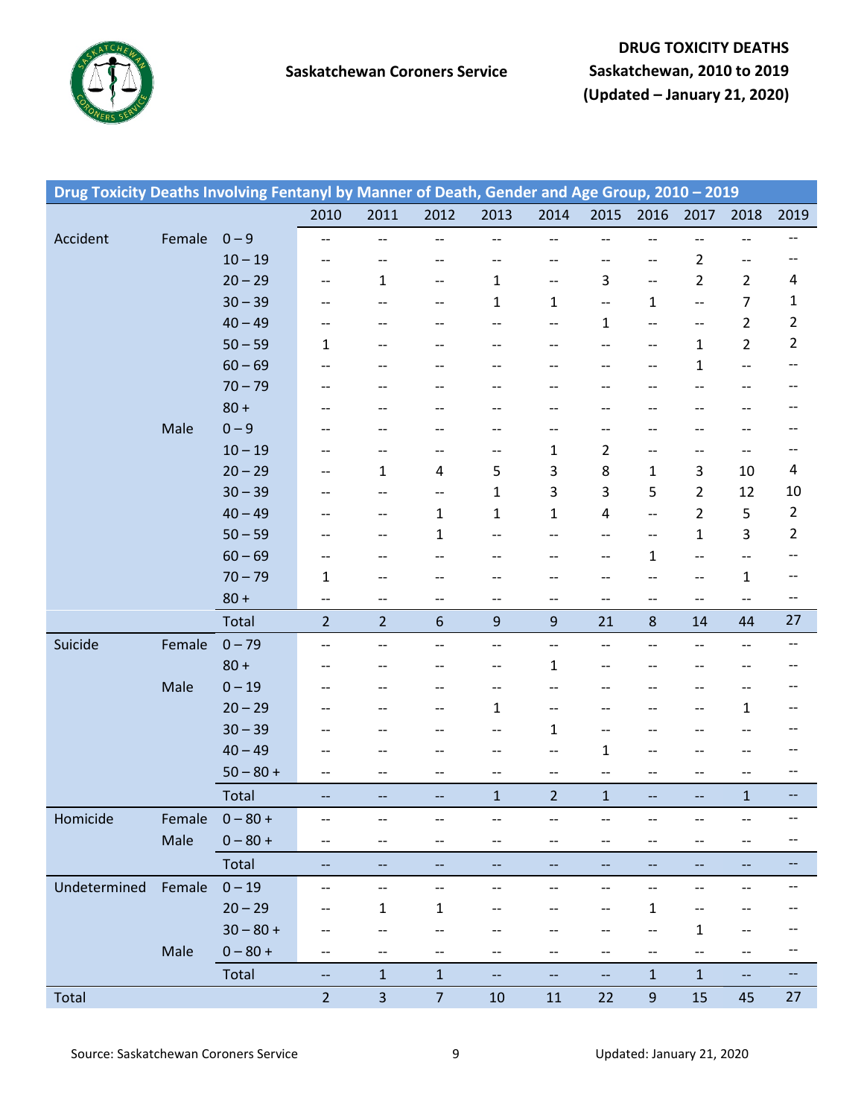

| Drug Toxicity Deaths Involving Fentanyl by Manner of Death, Gender and Age Group, 2010 - 2019 |        |             |                                       |                          |                                       |                          |                          |                          |                          |                          |                                                     |                                       |
|-----------------------------------------------------------------------------------------------|--------|-------------|---------------------------------------|--------------------------|---------------------------------------|--------------------------|--------------------------|--------------------------|--------------------------|--------------------------|-----------------------------------------------------|---------------------------------------|
|                                                                                               |        |             | 2010                                  | 2011                     | 2012                                  | 2013                     | 2014                     | 2015                     | 2016                     | 2017                     | 2018                                                | 2019                                  |
| Accident                                                                                      | Female | $0 - 9$     | --                                    | $\overline{\phantom{a}}$ | --                                    | $\overline{\phantom{a}}$ | $\overline{\phantom{a}}$ | --                       | $\overline{\phantom{a}}$ | $\overline{\phantom{a}}$ | $-\!$ –                                             | --                                    |
|                                                                                               |        | $10 - 19$   | --                                    | $ \!-$                   | --                                    | --                       | --                       | --                       | --                       | $\overline{2}$           | --                                                  | --                                    |
|                                                                                               |        | $20 - 29$   | $-\!$ $\!-$                           | $\mathbf{1}$             | $-\hbox{--}$                          | 1                        | $- -$                    | 3                        | $\overline{\phantom{m}}$ | $\overline{2}$           | $\overline{2}$                                      | 4                                     |
|                                                                                               |        | $30 - 39$   | --                                    | $-$                      | $-$                                   | $\mathbf{1}$             | $\mathbf{1}$             | --                       | $\mathbf{1}$             | $\overline{\phantom{a}}$ | $\overline{7}$                                      | $\mathbf{1}$                          |
|                                                                                               |        | $40 - 49$   | $-\!$ $\!-$                           | --                       | --                                    | --                       | $- -$                    | $\mathbf{1}$             | $\qquad \qquad -$        | $\overline{\phantom{a}}$ | $\overline{2}$                                      | $\overline{2}$                        |
|                                                                                               |        | $50 - 59$   | 1                                     |                          |                                       | --                       | --                       | --                       | --                       | $\mathbf{1}$             | $\overline{2}$                                      | $\overline{2}$                        |
|                                                                                               |        | $60 - 69$   | $-\!$ $\!-$                           | --                       | --                                    | --                       | --                       | --                       | --                       | $\mathbf 1$              | $\overline{\phantom{a}}$                            | --                                    |
|                                                                                               |        | $70 - 79$   | --                                    | $\overline{\phantom{a}}$ | --                                    | --                       | --                       | --                       |                          | --                       | $- -$                                               | --                                    |
|                                                                                               |        | $80 +$      | --                                    | $-$                      | --                                    | --                       | --                       | --                       | --                       | --                       | $- -$                                               | --                                    |
|                                                                                               | Male   | $0 - 9$     |                                       |                          | --                                    | --                       | --                       | --                       |                          | --                       | $-\!$ $\!-$                                         | --                                    |
|                                                                                               |        | $10 - 19$   | --                                    | $\overline{\phantom{a}}$ | --                                    | --                       | $\mathbf{1}$             | $\overline{2}$           | --                       | $\overline{\phantom{a}}$ | $-\!$ –                                             | --                                    |
|                                                                                               |        | $20 - 29$   | $-\!$ $\!-$                           | $\mathbf{1}$             | 4                                     | 5                        | 3                        | 8                        | $\mathbf{1}$             | 3                        | 10                                                  | 4                                     |
|                                                                                               |        | $30 - 39$   | --                                    | $ \!-$                   | $-\hbox{--}$                          | $\mathbf{1}$             | 3                        | 3                        | 5                        | $\overline{2}$           | 12                                                  | 10                                    |
|                                                                                               |        | $40 - 49$   | --                                    | --                       | 1                                     | 1                        | $\mathbf{1}$             | 4                        | $\overline{\phantom{m}}$ | $\overline{2}$           | 5                                                   | $\overline{2}$                        |
|                                                                                               |        | $50 - 59$   | --                                    | --                       | $\mathbf{1}$                          | --                       | --                       | $-\!$ –                  | $\qquad \qquad -$        | $\mathbf{1}$             | 3                                                   | $\overline{2}$                        |
|                                                                                               |        | $60 - 69$   | --                                    | --                       | $-$                                   | --                       | --                       | --                       | $\mathbf{1}$             | $\overline{\phantom{a}}$ | $-\!$ –                                             | --                                    |
|                                                                                               |        | $70 - 79$   | $\mathbf{1}$                          | $\overline{\phantom{a}}$ | --                                    | --                       | --                       | --                       | --                       | $\overline{\phantom{a}}$ | $\mathbf{1}$                                        | $-\!$                                 |
|                                                                                               |        | $80 +$      | $-\!$                                 | $\overline{\phantom{a}}$ | --                                    | --                       | --                       | --                       | --                       | $\overline{\phantom{a}}$ | $\overline{\phantom{a}}$                            | --                                    |
|                                                                                               |        | Total       | $\overline{2}$                        | $\overline{2}$           | 6                                     | $\boldsymbol{9}$         | $9\,$                    | 21                       | $\bf 8$                  | 14                       | 44                                                  | 27                                    |
| Suicide                                                                                       | Female | $0 - 79$    | $-\!$                                 | $-\hbox{--}$             | --                                    | $-\hbox{--}$             | $\overline{\phantom{a}}$ | --                       | $-$                      | $\overline{\phantom{a}}$ | $-\!$ –                                             | $-\,$ $-$                             |
|                                                                                               |        | $80 +$      | --                                    | --                       | --                                    | --                       | $\mathbf{1}$             | --                       |                          | --                       | $- -$                                               | --                                    |
|                                                                                               | Male   | $0 - 19$    | --                                    | --                       | --                                    | --                       | $-$                      | --                       | --                       | --                       | $- -$                                               | $-\!$                                 |
|                                                                                               |        | $20 - 29$   | --                                    | $ \!-$                   | $- -$                                 | $\mathbf{1}$             | $-$                      | --                       |                          | $\overline{\phantom{a}}$ | $\mathbf{1}$                                        | $\hspace{0.05cm}$ – $\hspace{0.05cm}$ |
|                                                                                               |        | $30 - 39$   | --                                    | --                       | --                                    | --                       | 1                        | --                       | --                       | --                       | $- -$                                               | --                                    |
|                                                                                               |        | $40 - 49$   |                                       |                          | --                                    | --                       | --                       | $\mathbf{1}$             |                          | --                       | $-\!$ $\!-$                                         |                                       |
|                                                                                               |        | $50 - 80 +$ | $\hspace{0.05cm}$ – $\hspace{0.05cm}$ | $\overline{\phantom{m}}$ | $\hspace{0.05cm}$ – $\hspace{0.05cm}$ | $-\hbox{--}$             | $-\!$ –                  | $\overline{\phantom{a}}$ | $-\, -$                  | --                       | $\hspace{0.05cm} -\hspace{0.05cm} -\hspace{0.05cm}$ | $\hspace{0.05cm} \dashrightarrow$     |
|                                                                                               |        | Total       | $- -$                                 | $-\hbox{--}$             | --                                    | $\mathbf{1}$             | $\overline{2}$           | $\mathbf 1$              | $\overline{\phantom{a}}$ | $\overline{\phantom{a}}$ | $\mathbf{1}$                                        | $\hspace{0.05cm}$ – $\hspace{0.05cm}$ |
| Homicide                                                                                      | Female | $0 - 80 +$  | --                                    | $\overline{\phantom{a}}$ | --                                    | --                       | --                       |                          |                          | --                       |                                                     |                                       |
|                                                                                               | Male   | $0 - 80 +$  | $\hspace{0.05cm}$ – $\hspace{0.05cm}$ | --                       | --                                    | --                       | --                       | --                       | --                       | --                       | $- -$                                               | --                                    |
|                                                                                               |        | Total       | --                                    | $\overline{\phantom{a}}$ | --                                    | --                       | --                       | --                       | --                       | --                       | $- -$                                               | $\overline{\phantom{a}}$              |
| Undetermined                                                                                  | Female | $0 - 19$    | --                                    | $\qquad \qquad -$        | --                                    | --                       | --                       | --                       | --                       | $\overline{\phantom{a}}$ | --                                                  | --                                    |
|                                                                                               |        | $20 - 29$   | --                                    | 1                        | 1                                     | --                       | --                       | --                       | $\mathbf{1}$             | --                       | --                                                  |                                       |
|                                                                                               |        | $30 - 80 +$ | --                                    | --                       | --                                    |                          | --                       |                          |                          | $\mathbf{1}$             | --                                                  |                                       |
|                                                                                               | Male   | $0 - 80 +$  | --                                    | --                       | --                                    | --                       | --                       | --                       | --                       | $\overline{\phantom{a}}$ | $- -$                                               | $\overline{\phantom{a}}$              |
|                                                                                               |        | Total       | --                                    | $\mathbf{1}$             | $\mathbf 1$                           | $\overline{\phantom{a}}$ | -−                       | -−                       | $\mathbf 1$              | $\mathbf 1$              | 4                                                   | $-$                                   |
| Total                                                                                         |        |             | $\overline{2}$                        | $\mathbf{3}$             | $7\overline{ }$                       | $10\,$                   | 11                       | 22                       | $\boldsymbol{9}$         | 15                       | 45                                                  | 27                                    |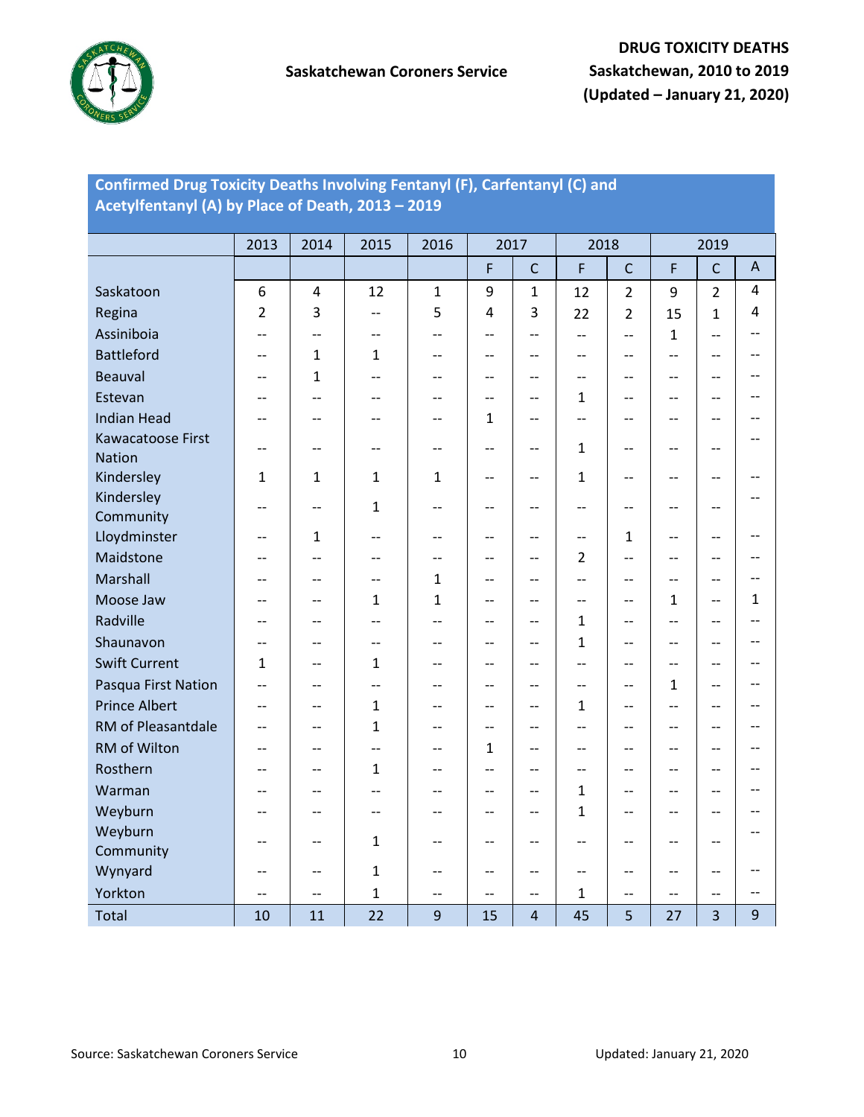

## **Confirmed Drug Toxicity Deaths Involving Fentanyl (F), Carfentanyl (C) and Acetylfentanyl (A) by Place of Death, 2013 – 2019**

|                      | 2013                     | 2014                     | 2015                     | 2016         | 2017                     |                          | 2018                                  |                          |                                   | 2019                    |     |
|----------------------|--------------------------|--------------------------|--------------------------|--------------|--------------------------|--------------------------|---------------------------------------|--------------------------|-----------------------------------|-------------------------|-----|
|                      |                          |                          |                          |              | F                        | $\mathsf{C}$             | F                                     | $\mathsf{C}$             | F                                 | $\mathsf{C}$            | A   |
| Saskatoon            | 6                        | $\overline{4}$           | 12                       | $\mathbf 1$  | 9                        | $\mathbf{1}$             | 12                                    | $\overline{2}$           | 9                                 | $\overline{2}$          | 4   |
| Regina               | $\overline{2}$           | 3                        | $\overline{\phantom{a}}$ | 5            | $\overline{4}$           | 3                        | 22                                    | $\overline{2}$           | 15                                | $\mathbf{1}$            | 4   |
| Assiniboia           | $-$                      | $-$                      | $-$                      | $-$          | $-$                      | --                       | $-$                                   | $-$                      | $\mathbf{1}$                      | $-$                     |     |
| <b>Battleford</b>    | $-$                      | 1                        | 1                        | $-$          | $-$                      | $\qquad \qquad -$        | $\overline{\phantom{a}}$              | $\qquad \qquad -$        | $\overline{\phantom{a}}$          | $-$                     |     |
| <b>Beauval</b>       | --                       | 1                        | $\overline{\phantom{a}}$ | $-$          | --                       | --                       | --                                    | --                       | $\overline{\phantom{a}}$          | --                      |     |
| Estevan              | $-$                      | --                       | --                       | $-$          | --                       | --                       | $\mathbf{1}$                          | --                       | $\overline{\phantom{a}}$          | --                      |     |
| <b>Indian Head</b>   | $\overline{\phantom{a}}$ | --                       | $-$                      | $-$          | $\mathbf{1}$             | --                       | $-$                                   | $-\, -$                  | $-$                               | $-$                     |     |
| Kawacatoose First    | $\overline{\phantom{a}}$ | $- -$                    | $-$                      | $-$          | $-\, -$                  | $- -$                    | $\mathbf{1}$                          | --                       | $-\,-$                            | --                      |     |
| <b>Nation</b>        |                          |                          |                          |              |                          |                          |                                       |                          |                                   |                         |     |
| Kindersley           | $\mathbf{1}$             | 1                        | 1                        | $\mathbf{1}$ | $-$                      | $-$                      | $\mathbf 1$                           | $-$                      | $-$                               | $-$                     |     |
| Kindersley           | $-$                      | $-$                      | $\mathbf{1}$             | $-$          | $\qquad \qquad -$        | --                       | $-$                                   | $-$                      | $\overline{\phantom{a}}$          | $-$                     |     |
| Community            |                          |                          |                          |              |                          |                          |                                       |                          |                                   |                         |     |
| Lloydminster         | $\qquad \qquad -$        | 1                        | $-$                      | --           | $-$                      | --                       | $\overline{\phantom{m}}$              | $\mathbf{1}$             | $\overline{\phantom{a}}$          | $-$                     |     |
| Maidstone            | --                       | $-$                      | $-$                      | $-$          | --                       | --                       | $\overline{2}$                        | --                       | $-$                               | --                      |     |
| Marshall             | --                       | $-$                      | --                       | $\mathbf{1}$ | --                       | --                       | $-$                                   | --                       | $\overline{\phantom{a}}$          | --                      |     |
| Moose Jaw            | $-$                      | $-$                      | 1                        | $\mathbf 1$  | $\qquad \qquad -$        | --                       | $-$                                   | $\qquad \qquad -$        | $\mathbf{1}$                      | $-$                     | 1   |
| Radville             | $-$                      | $-$                      | $-$                      | $-$          | $-$                      | --                       | $\mathbf{1}$                          | $-$                      | $-$                               | --                      |     |
| Shaunavon            | $-$                      | $-$                      | $-$                      | $-$          | $-$                      | --                       | $\mathbf{1}$                          | $-$                      | $-$                               | --                      |     |
| <b>Swift Current</b> | 1                        | $-$                      | 1                        | $-$          | $\overline{\phantom{a}}$ | $\overline{\phantom{a}}$ | $\overline{\phantom{a}}$              | $-$                      | $\overline{\phantom{a}}$          | $-$                     |     |
| Pasqua First Nation  | $\overline{\phantom{a}}$ | $\overline{\phantom{a}}$ |                          | $-$          | $-$                      | $-$                      | $\overline{\phantom{a}}$              | $\overline{\phantom{a}}$ | $\mathbf{1}$                      | $-$                     |     |
| <b>Prince Albert</b> | $-$                      | $\overline{a}$           | 1                        | $-$          | $-$                      | $\overline{\phantom{a}}$ | $\mathbf{1}$                          | $-$                      | $\overline{\phantom{a}}$          | $-$                     |     |
| RM of Pleasantdale   | $-$                      | $-$                      | $\mathbf{1}$             | $-$          | $-$                      | $\qquad \qquad -$        | $-$                                   | --                       | $\overline{\phantom{a}}$          | $-$                     |     |
| RM of Wilton         | $-$                      | $-$                      | $-$                      | $-$          | $\mathbf{1}$             | --                       | $-$                                   | --                       | $-$                               | $-$                     |     |
| Rosthern             | $-$                      | --                       | 1                        | $-$          | --                       | --                       | $-$                                   | --                       | $\overline{\phantom{a}}$          | --                      |     |
| Warman               | --                       | --                       | $-$                      | $-$          | --                       | --                       | $\mathbf{1}$                          | --                       | $-$                               | --                      |     |
| Weyburn              | $-$                      | $-$                      | $-$                      | $-$          | $-$                      | $\overline{\phantom{a}}$ | $\mathbf{1}$                          | $-\, -$                  | $\overline{\phantom{a}}$          | --                      |     |
| Weyburn              | $\qquad \qquad -$        | $-$                      | $\mathbf{1}$             | --           | $-$                      | --                       | $-$                                   | --                       | $\hspace{0.05cm} \dashrightarrow$ | --                      |     |
| Community            |                          |                          |                          |              |                          |                          |                                       |                          |                                   |                         |     |
| Wynyard              | $\qquad \qquad -$        | $-$                      | 1                        | --           | $-$                      | $\qquad \qquad -$        | $\hspace{0.05cm}$ – $\hspace{0.05cm}$ | $\qquad \qquad -$        | $\overline{\phantom{a}}$          | $-$                     |     |
| Yorkton              | $-$                      | $\overline{a}$           | 1                        | $-$          | $-$                      | $-$                      | $\mathbf{1}$                          | $-$                      | $-$                               | $-$                     | $-$ |
| Total                | 10                       | 11                       | 22                       | 9            | 15                       | $\overline{4}$           | 45                                    | 5                        | 27                                | $\overline{\mathbf{3}}$ | 9   |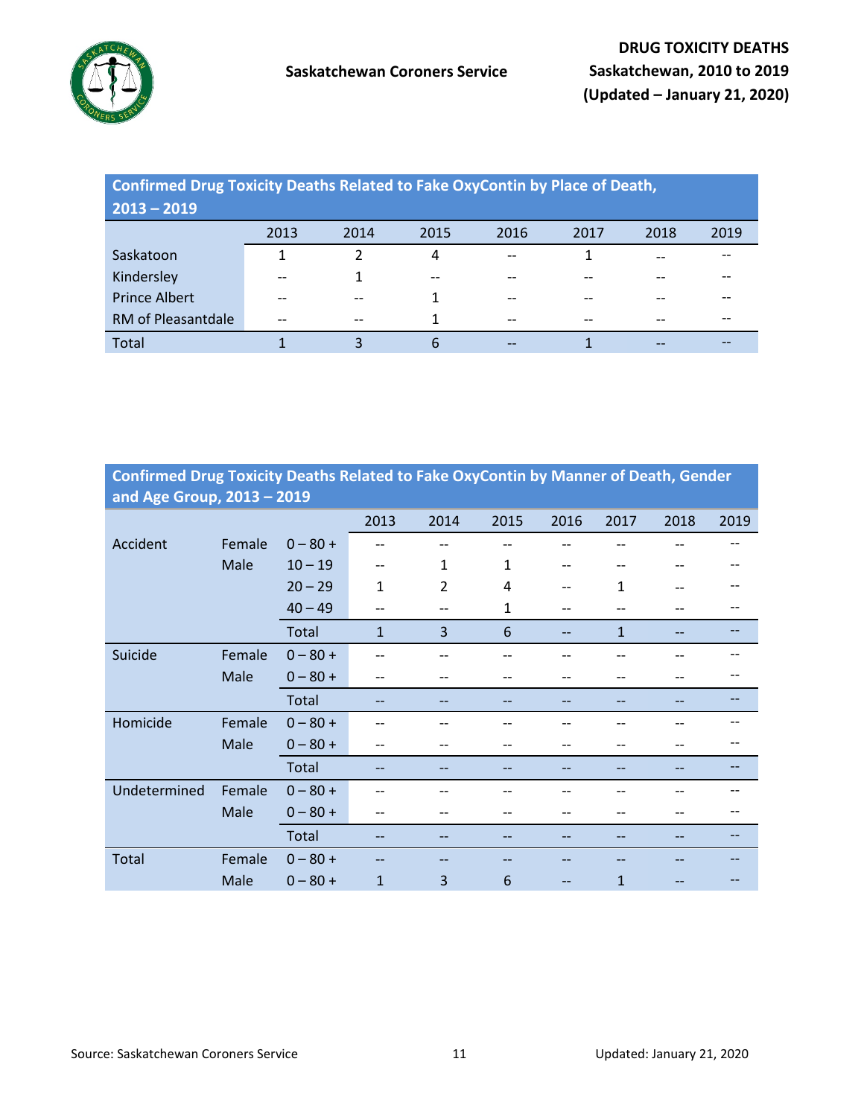

## **Confirmed Drug Toxicity Deaths Related to Fake OxyContin by Place of Death,**

| $2013 - 2019$        |       |                          |       |                               |       |       |      |
|----------------------|-------|--------------------------|-------|-------------------------------|-------|-------|------|
|                      | 2013  | 2014                     | 2015  | 2016                          | 2017  | 2018  | 2019 |
| Saskatoon            |       |                          | 4     | $\hspace{0.05cm} \textbf{--}$ |       | $- -$ |      |
| Kindersley           | --    |                          | $- -$ | $-$                           |       |       |      |
| <b>Prince Albert</b> | --    | $-$                      |       | $- -$                         | --    |       |      |
| RM of Pleasantdale   | $- -$ | $\overline{\phantom{m}}$ | 1     | $\hspace{0.05cm} \textbf{--}$ | $- -$ | $-$   |      |
| Total                |       | 3                        | 6     | --                            |       | --    |      |

| Confirmed Drug Toxicity Deaths Related to Fake OxyContin by Manner of Death, Gender |  |
|-------------------------------------------------------------------------------------|--|
| and Age Group, $2013 - 2019$                                                        |  |

|              | .      |            |              |                |              |      |              |      |      |
|--------------|--------|------------|--------------|----------------|--------------|------|--------------|------|------|
|              |        |            | 2013         | 2014           | 2015         | 2016 | 2017         | 2018 | 2019 |
| Accident     | Female | $0 - 80 +$ | --           | $- -$          |              |      |              |      |      |
|              | Male   | $10 - 19$  | --           | $\mathbf{1}$   | 1            | --   |              |      |      |
|              |        | $20 - 29$  | $\mathbf{1}$ | $\overline{2}$ | 4            | --   | 1            |      |      |
|              |        | $40 - 49$  | --           | --             | $\mathbf{1}$ | --   |              |      |      |
|              |        | Total      | $\mathbf{1}$ | $\overline{3}$ | 6            | $-$  | $\mathbf{1}$ |      |      |
| Suicide      | Female | $0 - 80 +$ | --           | --             |              |      |              |      |      |
|              | Male   | $0 - 80 +$ | --           |                |              |      |              |      |      |
|              |        | Total      | --           | --             |              |      |              |      |      |
| Homicide     | Female | $0 - 80 +$ |              |                |              |      |              |      |      |
|              | Male   | $0 - 80 +$ | --           | --             |              |      |              | --   |      |
|              |        | Total      | --           |                |              |      |              |      |      |
| Undetermined | Female | $0 - 80 +$ |              |                |              |      |              |      |      |
|              | Male   | $0 - 80 +$ | --           |                |              |      |              |      |      |
|              |        | Total      |              |                |              |      |              |      |      |
| Total        | Female | $0 - 80 +$ |              |                |              |      |              |      |      |
|              | Male   | $0 - 80 +$ | $\mathbf{1}$ | 3              | 6            |      | 1            |      |      |